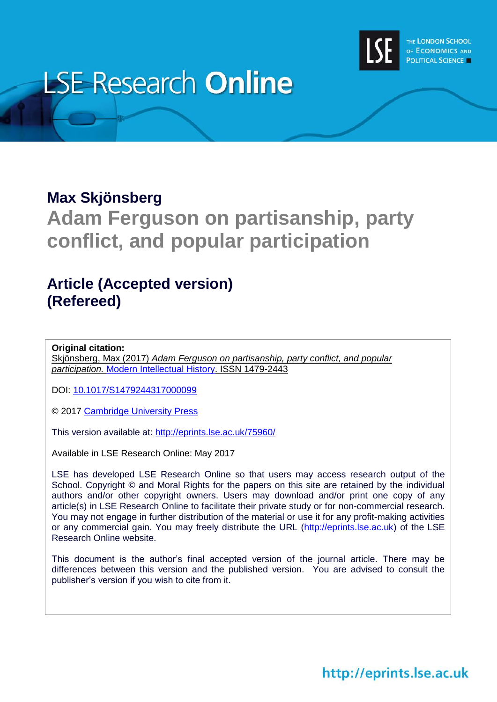

# **LSE Research Online**

### **Max Skjönsberg**

## **Adam Ferguson on partisanship, party conflict, and popular participation**

### **Article (Accepted version) (Refereed)**

**Original citation:** Skjönsberg, Max (2017) *Adam Ferguson on partisanship, party conflict, and popular participation.* [Modern Intellectual History.](https://www.cambridge.org/core/journals/modern-intellectual-history) ISSN 1479-2443

DOI: [10.1017/S1479244317000099](https://doi.org/10.1017/S1479244317000099)

© 2017 [Cambridge University Press](http://www.cambridge.org/)

This version available at:<http://eprints.lse.ac.uk/75960/>

Available in LSE Research Online: May 2017

LSE has developed LSE Research Online so that users may access research output of the School. Copyright © and Moral Rights for the papers on this site are retained by the individual authors and/or other copyright owners. Users may download and/or print one copy of any article(s) in LSE Research Online to facilitate their private study or for non-commercial research. You may not engage in further distribution of the material or use it for any profit-making activities or any commercial gain. You may freely distribute the URL (http://eprints.lse.ac.uk) of the LSE Research Online website.

This document is the author's final accepted version of the journal article. There may be differences between this version and the published version. You are advised to consult the publisher's version if you wish to cite from it.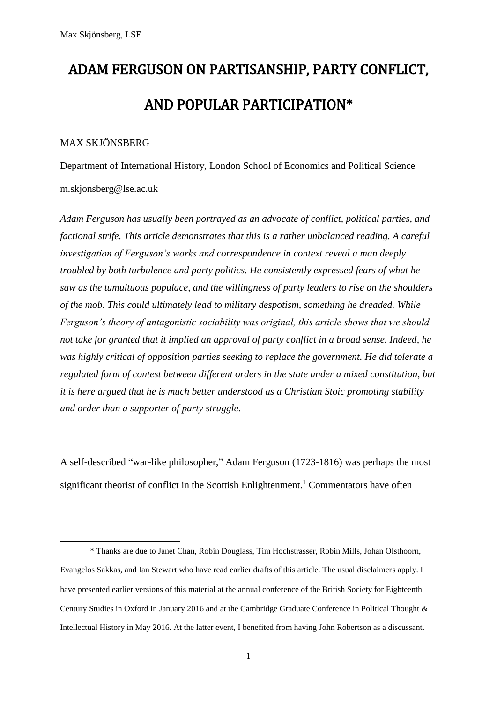# ADAM FERGUSON ON PARTISANSHIP, PARTY CONFLICT, AND POPULAR PARTICIPATION\*

#### MAX SKJÖNSBERG

**.** 

Department of International History, London School of Economics and Political Science m.skjonsberg@lse.ac.uk

*Adam Ferguson has usually been portrayed as an advocate of conflict, political parties, and factional strife. This article demonstrates that this is a rather unbalanced reading. A careful investigation of Ferguson's works and correspondence in context reveal a man deeply troubled by both turbulence and party politics. He consistently expressed fears of what he saw as the tumultuous populace, and the willingness of party leaders to rise on the shoulders of the mob. This could ultimately lead to military despotism, something he dreaded. While Ferguson's theory of antagonistic sociability was original, this article shows that we should not take for granted that it implied an approval of party conflict in a broad sense. Indeed, he was highly critical of opposition parties seeking to replace the government. He did tolerate a regulated form of contest between different orders in the state under a mixed constitution, but it is here argued that he is much better understood as a Christian Stoic promoting stability and order than a supporter of party struggle.*

A self-described "war-like philosopher," Adam Ferguson (1723-1816) was perhaps the most significant theorist of conflict in the Scottish Enlightenment.<sup>1</sup> Commentators have often

<sup>\*</sup> Thanks are due to Janet Chan, Robin Douglass, Tim Hochstrasser, Robin Mills, Johan Olsthoorn, Evangelos Sakkas, and Ian Stewart who have read earlier drafts of this article. The usual disclaimers apply. I have presented earlier versions of this material at the annual conference of the British Society for Eighteenth Century Studies in Oxford in January 2016 and at the Cambridge Graduate Conference in Political Thought & Intellectual History in May 2016. At the latter event, I benefited from having John Robertson as a discussant.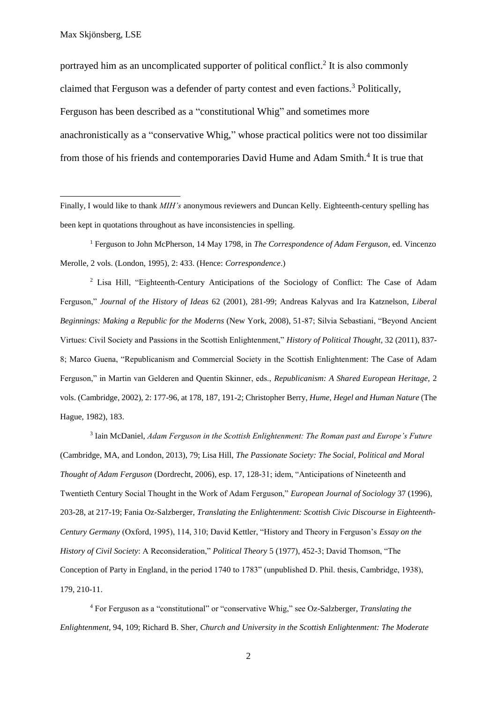1

portrayed him as an uncomplicated supporter of political conflict.<sup>2</sup> It is also commonly claimed that Ferguson was a defender of party contest and even factions. <sup>3</sup> Politically, Ferguson has been described as a "constitutional Whig" and sometimes more anachronistically as a "conservative Whig," whose practical politics were not too dissimilar from those of his friends and contemporaries David Hume and Adam Smith.<sup>4</sup> It is true that

Finally, I would like to thank *MIH's* anonymous reviewers and Duncan Kelly. Eighteenth-century spelling has been kept in quotations throughout as have inconsistencies in spelling.

<sup>1</sup> Ferguson to John McPherson, 14 May 1798, in *The Correspondence of Adam Ferguson*, ed. Vincenzo Merolle, 2 vols. (London, 1995), 2: 433. (Hence: *Correspondence*.)

<sup>2</sup> Lisa Hill, "Eighteenth-Century Anticipations of the Sociology of Conflict: The Case of Adam Ferguson," *Journal of the History of Ideas* 62 (2001), 281-99; Andreas Kalyvas and Ira Katznelson*, Liberal Beginnings: Making a Republic for the Moderns* (New York, 2008), 51-87; Silvia Sebastiani, "Beyond Ancient Virtues: Civil Society and Passions in the Scottish Enlightenment," *History of Political Thought,* 32 (2011), 837- 8; Marco Guena, "Republicanism and Commercial Society in the Scottish Enlightenment: The Case of Adam Ferguson," in Martin van Gelderen and Quentin Skinner, eds., *Republicanism: A Shared European Heritage,* 2 vols. (Cambridge, 2002), 2: 177-96, at 178, 187, 191-2; Christopher Berry, *Hume, Hegel and Human Nature* (The Hague, 1982), 183.

3 Iain McDaniel, *Adam Ferguson in the Scottish Enlightenment: The Roman past and Europe's Future*  (Cambridge, MA, and London, 2013), 79; Lisa Hill, *The Passionate Society: The Social, Political and Moral Thought of Adam Ferguson* (Dordrecht, 2006), esp. 17, 128-31; idem, "Anticipations of Nineteenth and Twentieth Century Social Thought in the Work of Adam Ferguson," *European Journal of Sociology* 37 (1996), 203-28, at 217-19; Fania Oz-Salzberger, *Translating the Enlightenment: Scottish Civic Discourse in Eighteenth-Century Germany* (Oxford, 1995), 114, 310; David Kettler, "History and Theory in Ferguson's *Essay on the History of Civil Society*: A Reconsideration," *Political Theory* 5 (1977), 452-3; David Thomson, "The Conception of Party in England, in the period 1740 to 1783" (unpublished D. Phil. thesis, Cambridge, 1938), 179, 210-11.

<sup>4</sup> For Ferguson as a "constitutional" or "conservative Whig," see Oz-Salzberger, *Translating the Enlightenment*, 94, 109; Richard B. Sher, *Church and University in the Scottish Enlightenment: The Moderate*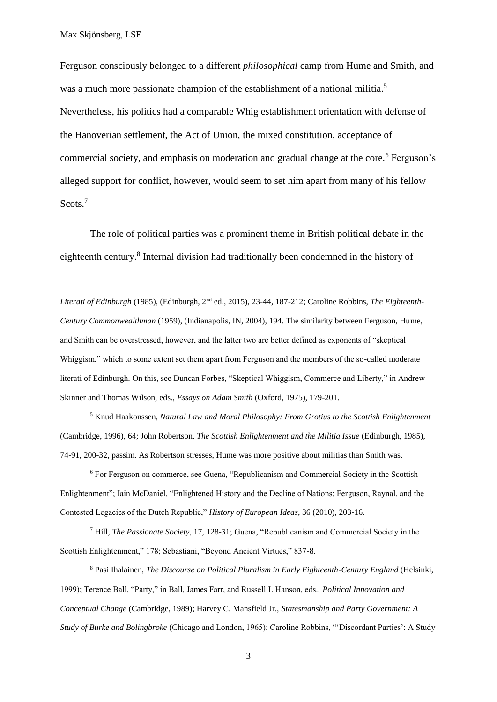**.** 

Ferguson consciously belonged to a different *philosophical* camp from Hume and Smith, and was a much more passionate champion of the establishment of a national militia.<sup>5</sup> Nevertheless, his politics had a comparable Whig establishment orientation with defense of the Hanoverian settlement, the Act of Union, the mixed constitution, acceptance of commercial society, and emphasis on moderation and gradual change at the core.<sup>6</sup> Ferguson's alleged support for conflict, however, would seem to set him apart from many of his fellow Scots.<sup>7</sup>

The role of political parties was a prominent theme in British political debate in the eighteenth century.<sup>8</sup> Internal division had traditionally been condemned in the history of

*Literati of Edinburgh* (1985), (Edinburgh, 2nd ed., 2015), 23-44, 187-212; Caroline Robbins, *The Eighteenth-Century Commonwealthman* (1959), (Indianapolis, IN, 2004), 194. The similarity between Ferguson, Hume, and Smith can be overstressed, however, and the latter two are better defined as exponents of "skeptical Whiggism," which to some extent set them apart from Ferguson and the members of the so-called moderate literati of Edinburgh. On this, see Duncan Forbes, "Skeptical Whiggism, Commerce and Liberty," in Andrew Skinner and Thomas Wilson, eds., *Essays on Adam Smith* (Oxford, 1975), 179-201.

<sup>5</sup> Knud Haakonssen, *Natural Law and Moral Philosophy: From Grotius to the Scottish Enlightenment* (Cambridge, 1996), 64; John Robertson, *The Scottish Enlightenment and the Militia Issue* (Edinburgh, 1985), 74-91, 200-32, passim. As Robertson stresses, Hume was more positive about militias than Smith was.

<sup>6</sup> For Ferguson on commerce, see Guena, "Republicanism and Commercial Society in the Scottish Enlightenment"; Iain McDaniel, "Enlightened History and the Decline of Nations: Ferguson, Raynal, and the Contested Legacies of the Dutch Republic," *History of European Ideas*, 36 (2010), 203-16.

<sup>7</sup> Hill, *The Passionate Society,* 17, 128-31; Guena, "Republicanism and Commercial Society in the Scottish Enlightenment," 178; Sebastiani, "Beyond Ancient Virtues," 837-8.

<sup>8</sup> Pasi Ihalainen, *The Discourse on Political Pluralism in Early Eighteenth-Century England* (Helsinki, 1999); Terence Ball, "Party," in Ball, James Farr, and Russell L Hanson, eds., *Political Innovation and Conceptual Change* (Cambridge, 1989); Harvey C. Mansfield Jr., *Statesmanship and Party Government: A Study of Burke and Bolingbroke* (Chicago and London, 1965); Caroline Robbins, "'Discordant Parties': A Study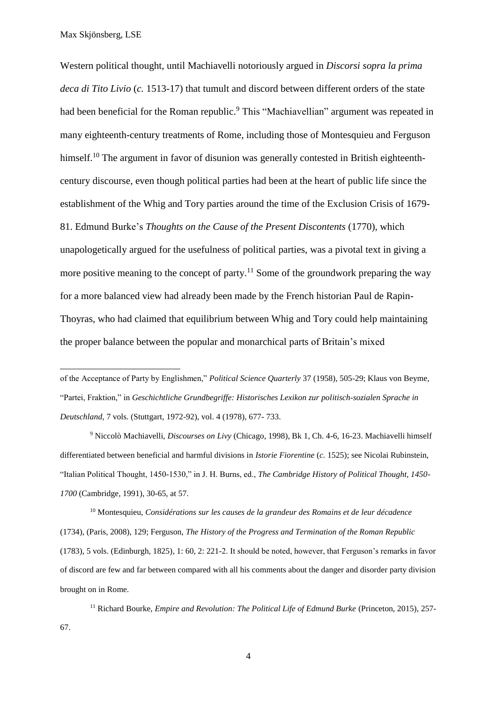1

Western political thought, until Machiavelli notoriously argued in *Discorsi sopra la prima deca di Tito Livio* (*c.* 1513-17) that tumult and discord between different orders of the state had been beneficial for the Roman republic.<sup>9</sup> This "Machiavellian" argument was repeated in many eighteenth-century treatments of Rome, including those of Montesquieu and Ferguson himself.<sup>10</sup> The argument in favor of disunion was generally contested in British eighteenthcentury discourse, even though political parties had been at the heart of public life since the establishment of the Whig and Tory parties around the time of the Exclusion Crisis of 1679- 81. Edmund Burke's *Thoughts on the Cause of the Present Discontents* (1770), which unapologetically argued for the usefulness of political parties, was a pivotal text in giving a more positive meaning to the concept of party.<sup>11</sup> Some of the groundwork preparing the way for a more balanced view had already been made by the French historian Paul de Rapin-Thoyras, who had claimed that equilibrium between Whig and Tory could help maintaining the proper balance between the popular and monarchical parts of Britain's mixed

of the Acceptance of Party by Englishmen," *Political Science Quarterly* 37 (1958), 505-29; Klaus von Beyme, "Partei, Fraktion," in *Geschichtliche Grundbegriffe: Historisches Lexikon zur politisch-sozialen Sprache in Deutschland,* 7 vols. (Stuttgart, 1972-92), vol. 4 (1978), 677- 733.

<sup>9</sup> Niccolò Machiavelli, *Discourses on Livy* (Chicago, 1998), Bk 1, Ch. 4-6, 16-23. Machiavelli himself differentiated between beneficial and harmful divisions in *Istorie Fiorentine* (*c.* 1525); see Nicolai Rubinstein, "Italian Political Thought, 1450-1530," in J. H. Burns, ed., *The Cambridge History of Political Thought, 1450- 1700* (Cambridge, 1991), 30-65, at 57.

<sup>10</sup> Montesquieu, *Considérations sur les causes de la grandeur des Romains et de leur décadence* (1734), (Paris, 2008), 129; Ferguson, *The History of the Progress and Termination of the Roman Republic*  (1783), 5 vols. (Edinburgh, 1825)*,* 1: 60, 2: 221-2. It should be noted, however, that Ferguson's remarks in favor of discord are few and far between compared with all his comments about the danger and disorder party division brought on in Rome.

<sup>11</sup> Richard Bourke, *Empire and Revolution: The Political Life of Edmund Burke* (Princeton, 2015), 257-67.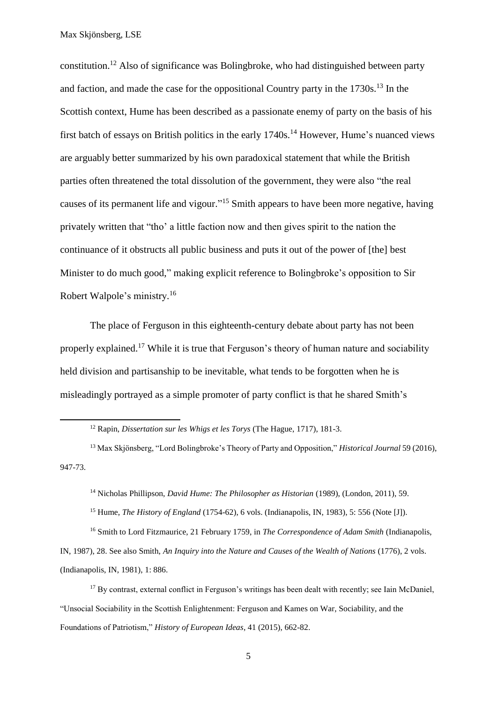**.** 

constitution. <sup>12</sup> Also of significance was Bolingbroke, who had distinguished between party and faction, and made the case for the oppositional Country party in the  $1730s$ .<sup>13</sup> In the Scottish context, Hume has been described as a passionate enemy of party on the basis of his first batch of essays on British politics in the early  $1740s$ .<sup>14</sup> However, Hume's nuanced views are arguably better summarized by his own paradoxical statement that while the British parties often threatened the total dissolution of the government, they were also "the real causes of its permanent life and vigour."<sup>15</sup> Smith appears to have been more negative, having privately written that "tho' a little faction now and then gives spirit to the nation the continuance of it obstructs all public business and puts it out of the power of [the] best Minister to do much good," making explicit reference to Bolingbroke's opposition to Sir Robert Walpole's ministry. 16

The place of Ferguson in this eighteenth-century debate about party has not been properly explained.<sup>17</sup> While it is true that Ferguson's theory of human nature and sociability held division and partisanship to be inevitable, what tends to be forgotten when he is misleadingly portrayed as a simple promoter of party conflict is that he shared Smith's

<sup>15</sup> Hume, *The History of England* (1754-62), 6 vols. (Indianapolis, IN, 1983), 5: 556 (Note [J]).

<sup>16</sup> Smith to Lord Fitzmaurice, 21 February 1759, in *The Correspondence of Adam Smith* (Indianapolis, IN, 1987), 28. See also Smith, *An Inquiry into the Nature and Causes of the Wealth of Nations* (1776), 2 vols. (Indianapolis, IN, 1981), 1: 886.

<sup>17</sup> By contrast, external conflict in Ferguson's writings has been dealt with recently; see Iain McDaniel, "Unsocial Sociability in the Scottish Enlightenment: Ferguson and Kames on War, Sociability, and the Foundations of Patriotism," *History of European Ideas*, 41 (2015), 662-82.

<sup>12</sup> Rapin, *Dissertation sur les Whigs et les Torys* (The Hague, 1717), 181-3.

<sup>13</sup> Max Skjönsberg, "Lord Bolingbroke's Theory of Party and Opposition," *Historical Journal* 59 (2016), 947-73.

<sup>14</sup> Nicholas Phillipson, *David Hume: The Philosopher as Historian* (1989), (London, 2011), 59.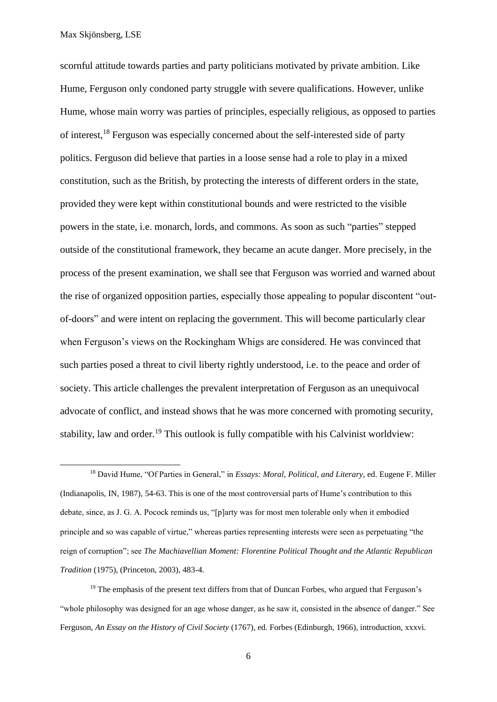1

scornful attitude towards parties and party politicians motivated by private ambition. Like Hume, Ferguson only condoned party struggle with severe qualifications. However, unlike Hume, whose main worry was parties of principles, especially religious, as opposed to parties of interest,<sup>18</sup> Ferguson was especially concerned about the self-interested side of party politics. Ferguson did believe that parties in a loose sense had a role to play in a mixed constitution, such as the British, by protecting the interests of different orders in the state, provided they were kept within constitutional bounds and were restricted to the visible powers in the state, i.e. monarch, lords, and commons. As soon as such "parties" stepped outside of the constitutional framework, they became an acute danger. More precisely, in the process of the present examination, we shall see that Ferguson was worried and warned about the rise of organized opposition parties, especially those appealing to popular discontent "outof-doors" and were intent on replacing the government. This will become particularly clear when Ferguson's views on the Rockingham Whigs are considered. He was convinced that such parties posed a threat to civil liberty rightly understood, i.e. to the peace and order of society. This article challenges the prevalent interpretation of Ferguson as an unequivocal advocate of conflict, and instead shows that he was more concerned with promoting security, stability, law and order.<sup>19</sup> This outlook is fully compatible with his Calvinist worldview:

<sup>18</sup> David Hume, "Of Parties in General," in *Essays: Moral, Political, and Literary,* ed. Eugene F. Miller (Indianapolis, IN, 1987), 54-63. This is one of the most controversial parts of Hume's contribution to this debate, since, as J. G. A. Pocock reminds us, "[p]arty was for most men tolerable only when it embodied principle and so was capable of virtue," whereas parties representing interests were seen as perpetuating "the reign of corruption"; see *The Machiavellian Moment: Florentine Political Thought and the Atlantic Republican Tradition* (1975), (Princeton, 2003), 483-4.

<sup>19</sup> The emphasis of the present text differs from that of Duncan Forbes, who argued that Ferguson's "whole philosophy was designed for an age whose danger, as he saw it, consisted in the absence of danger." See Ferguson, *An Essay on the History of Civil Society* (1767), ed. Forbes (Edinburgh, 1966), introduction, xxxvi.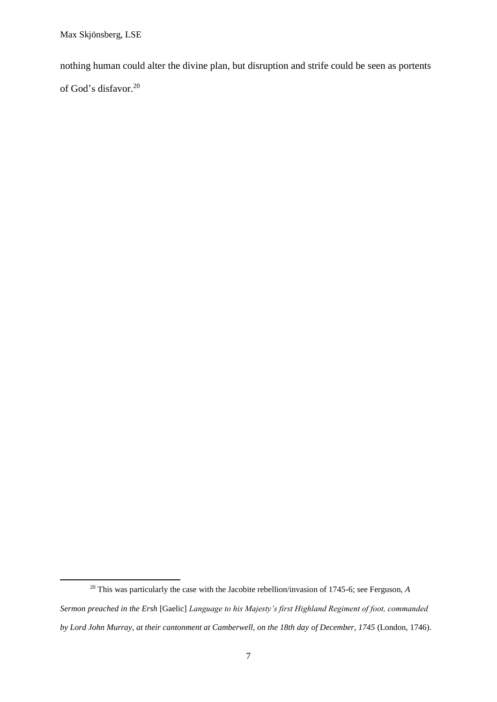1

nothing human could alter the divine plan, but disruption and strife could be seen as portents of God's disfavor. 20

<sup>&</sup>lt;sup>20</sup> This was particularly the case with the Jacobite rebellion/invasion of 1745-6; see Ferguson, *A Sermon preached in the Ersh* [Gaelic] *Language to his Majesty's first Highland Regiment of foot, commanded by Lord John Murray, at their cantonment at Camberwell, on the 18th day of December, 1745* (London, 1746).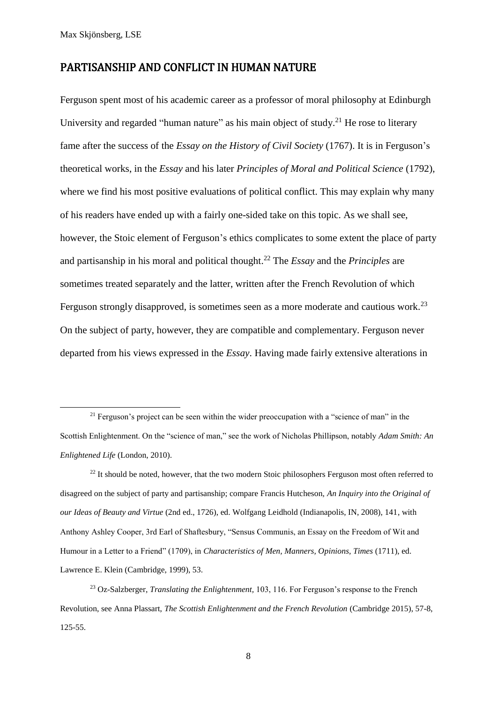**.** 

#### PARTISANSHIP AND CONFLICT IN HUMAN NATURE

Ferguson spent most of his academic career as a professor of moral philosophy at Edinburgh University and regarded "human nature" as his main object of study.<sup>21</sup> He rose to literary fame after the success of the *Essay on the History of Civil Society* (1767). It is in Ferguson's theoretical works, in the *Essay* and his later *Principles of Moral and Political Science* (1792)*,*  where we find his most positive evaluations of political conflict. This may explain why many of his readers have ended up with a fairly one-sided take on this topic. As we shall see, however, the Stoic element of Ferguson's ethics complicates to some extent the place of party and partisanship in his moral and political thought.<sup>22</sup> The *Essay* and the *Principles* are sometimes treated separately and the latter, written after the French Revolution of which Ferguson strongly disapproved, is sometimes seen as a more moderate and cautious work.<sup>23</sup> On the subject of party, however, they are compatible and complementary. Ferguson never departed from his views expressed in the *Essay*. Having made fairly extensive alterations in

 $21$  Ferguson's project can be seen within the wider preoccupation with a "science of man" in the Scottish Enlightenment. On the "science of man," see the work of Nicholas Phillipson, notably *Adam Smith: An Enlightened Life* (London, 2010).

 $^{22}$  It should be noted, however, that the two modern Stoic philosophers Ferguson most often referred to disagreed on the subject of party and partisanship; compare Francis Hutcheson, *An Inquiry into the Original of our Ideas of Beauty and Virtue* (2nd ed., 1726), ed. Wolfgang Leidhold (Indianapolis, IN, 2008), 141, with Anthony Ashley Cooper, 3rd Earl of Shaftesbury, "Sensus Communis, an Essay on the Freedom of Wit and Humour in a Letter to a Friend" (1709), in *Characteristics of Men, Manners, Opinions, Times* (1711), ed. Lawrence E. Klein (Cambridge, 1999), 53.

<sup>23</sup> Oz-Salzberger, *Translating the Enlightenment,* 103, 116. For Ferguson's response to the French Revolution, see Anna Plassart, *The Scottish Enlightenment and the French Revolution* (Cambridge 2015), 57-8, 125-55.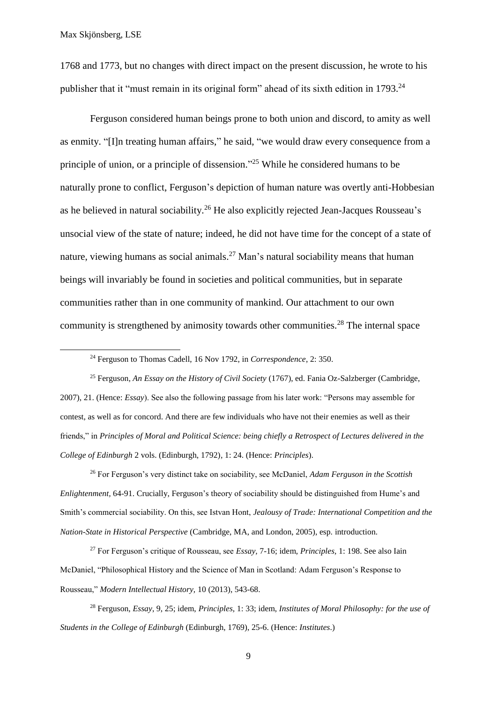**.** 

1768 and 1773, but no changes with direct impact on the present discussion, he wrote to his publisher that it "must remain in its original form" ahead of its sixth edition in 1793.<sup>24</sup>

Ferguson considered human beings prone to both union and discord, to amity as well as enmity. "[I]n treating human affairs," he said, "we would draw every consequence from a principle of union, or a principle of dissension."<sup>25</sup> While he considered humans to be naturally prone to conflict, Ferguson's depiction of human nature was overtly anti-Hobbesian as he believed in natural sociability.<sup>26</sup> He also explicitly rejected Jean-Jacques Rousseau's unsocial view of the state of nature; indeed, he did not have time for the concept of a state of nature, viewing humans as social animals.<sup>27</sup> Man's natural sociability means that human beings will invariably be found in societies and political communities, but in separate communities rather than in one community of mankind. Our attachment to our own community is strengthened by animosity towards other communities.<sup>28</sup> The internal space

<sup>24</sup> Ferguson to Thomas Cadell, 16 Nov 1792, in *Correspondence*, 2: 350.

<sup>25</sup> Ferguson*, An Essay on the History of Civil Society* (1767), ed. Fania Oz-Salzberger (Cambridge, 2007), 21. (Hence: *Essay*). See also the following passage from his later work: "Persons may assemble for contest, as well as for concord. And there are few individuals who have not their enemies as well as their friends," in *Principles of Moral and Political Science: being chiefly a Retrospect of Lectures delivered in the College of Edinburgh* 2 vols. (Edinburgh, 1792)*,* 1: 24. (Hence: *Principles*).

<sup>26</sup> For Ferguson's very distinct take on sociability, see McDaniel, *Adam Ferguson in the Scottish Enlightenment,* 64-91. Crucially, Ferguson's theory of sociability should be distinguished from Hume's and Smith's commercial sociability. On this, see Istvan Hont, *Jealousy of Trade: International Competition and the Nation-State in Historical Perspective* (Cambridge, MA, and London, 2005), esp. introduction.

<sup>27</sup> For Ferguson's critique of Rousseau, see *Essay,* 7-16; idem, *Principles,* 1: 198. See also Iain McDaniel, "Philosophical History and the Science of Man in Scotland: Adam Ferguson's Response to Rousseau," *Modern Intellectual History,* 10 (2013), 543-68.

<sup>28</sup> Ferguson, *Essay*, 9, 25; idem, *Principles,* 1: 33; idem, *Institutes of Moral Philosophy: for the use of Students in the College of Edinburgh* (Edinburgh, 1769), 25-6. (Hence: *Institutes*.)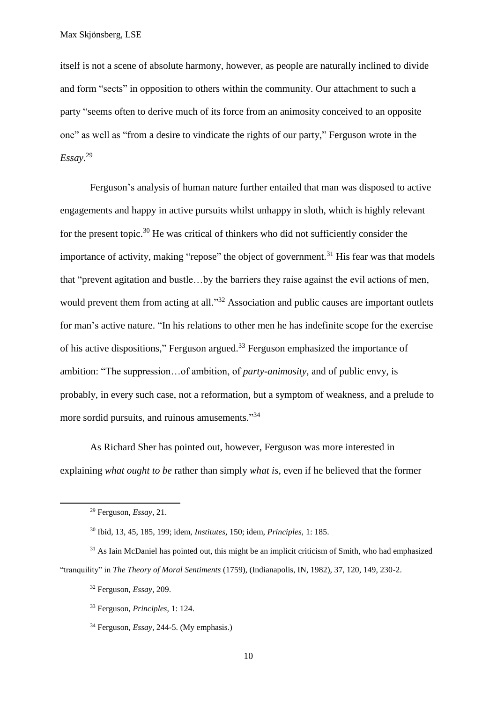itself is not a scene of absolute harmony, however, as people are naturally inclined to divide and form "sects" in opposition to others within the community. Our attachment to such a party "seems often to derive much of its force from an animosity conceived to an opposite one" as well as "from a desire to vindicate the rights of our party," Ferguson wrote in the *Essay*. 29

Ferguson's analysis of human nature further entailed that man was disposed to active engagements and happy in active pursuits whilst unhappy in sloth, which is highly relevant for the present topic.<sup>30</sup> He was critical of thinkers who did not sufficiently consider the importance of activity, making "repose" the object of government.<sup>31</sup> His fear was that models that "prevent agitation and bustle…by the barriers they raise against the evil actions of men, would prevent them from acting at all."<sup>32</sup> Association and public causes are important outlets for man's active nature. "In his relations to other men he has indefinite scope for the exercise of his active dispositions," Ferguson argued.<sup>33</sup> Ferguson emphasized the importance of ambition: "The suppression…of ambition, of *party-animosity*, and of public envy, is probably, in every such case, not a reformation, but a symptom of weakness, and a prelude to more sordid pursuits, and ruinous amusements."<sup>34</sup>

As Richard Sher has pointed out, however, Ferguson was more interested in explaining *what ought to be* rather than simply *what is*, even if he believed that the former

<sup>29</sup> Ferguson, *Essay*, 21.

<sup>30</sup> Ibid*,* 13, 45, 185, 199; idem, *Institutes,* 150; idem, *Principles,* 1: 185.

<sup>&</sup>lt;sup>31</sup> As Iain McDaniel has pointed out, this might be an implicit criticism of Smith, who had emphasized "tranquility" in *The Theory of Moral Sentiments* (1759), (Indianapolis, IN, 1982), 37, 120, 149, 230-2.

<sup>32</sup> Ferguson, *Essay*, 209.

<sup>33</sup> Ferguson, *Principles*, 1: 124.

<sup>34</sup> Ferguson, *Essay*, 244-5. (My emphasis.)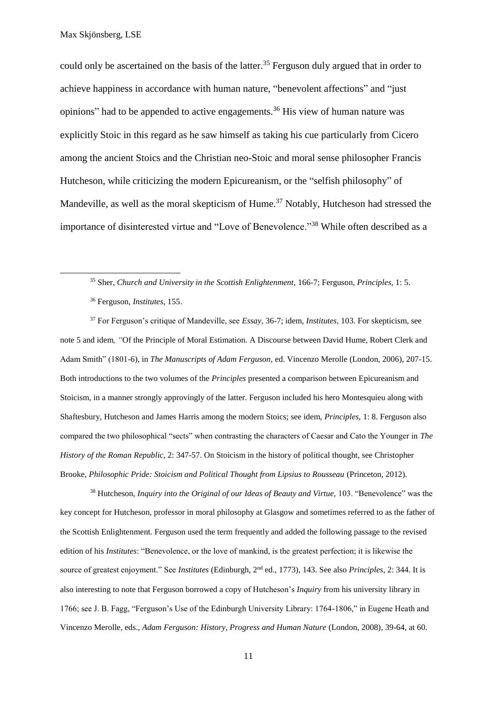could only be ascertained on the basis of the latter.<sup>35</sup> Ferguson duly argued that in order to achieve happiness in accordance with human nature, "benevolent affections" and "just opinions" had to be appended to active engagements.<sup>36</sup> His view of human nature was explicitly Stoic in this regard as he saw himself as taking his cue particularly from Cicero among the ancient Stoics and the Christian neo-Stoic and moral sense philosopher Francis Hutcheson, while criticizing the modern Epicureanism, or the "selfish philosophy" of Mandeville, as well as the moral skepticism of Hume.<sup>37</sup> Notably, Hutcheson had stressed the importance of disinterested virtue and "Love of Benevolence."<sup>38</sup> While often described as a

**.** 

<sup>37</sup> For Ferguson's critique of Mandeville, see *Essay,* 36-7; idem, *Institutes*, 103. For skepticism, see note 5 and idem*, "*Of the Principle of Moral Estimation. A Discourse between David Hume, Robert Clerk and Adam Smith" (1801-6), in *The Manuscripts of Adam Ferguson,* ed. Vincenzo Merolle (London, 2006), 207-15. Both introductions to the two volumes of the *Principles* presented a comparison between Epicureanism and Stoicism, in a manner strongly approvingly of the latter. Ferguson included his hero Montesquieu along with Shaftesbury, Hutcheson and James Harris among the modern Stoics; see idem, *Principles,* 1: 8. Ferguson also compared the two philosophical "sects" when contrasting the characters of Caesar and Cato the Younger in *The History of the Roman Republic,* 2: 347-57. On Stoicism in the history of political thought, see Christopher Brooke, *Philosophic Pride: Stoicism and Political Thought from Lipsius to Rousseau* (Princeton, 2012).

<sup>38</sup> Hutcheson, *Inquiry into the Original of our Ideas of Beauty and Virtue,* 103. "Benevolence" was the key concept for Hutcheson, professor in moral philosophy at Glasgow and sometimes referred to as the father of the Scottish Enlightenment. Ferguson used the term frequently and added the following passage to the revised edition of his *Institutes*: "Benevolence, or the love of mankind, is the greatest perfection; it is likewise the source of greatest enjoyment." See *Institutes* (Edinburgh, 2nd ed., 1773), 143. See also *Principles*, 2: 344. It is also interesting to note that Ferguson borrowed a copy of Hutcheson's *Inquiry* from his university library in 1766; see J. B. Fagg, "Ferguson's Use of the Edinburgh University Library: 1764-1806," in Eugene Heath and Vincenzo Merolle, eds., *Adam Ferguson: History, Progress and Human Nature* (London, 2008)*,* 39-64, at 60.

<sup>35</sup> Sher, *Church and University in the Scottish Enlightenment,* 166-7; Ferguson, *Principles,* 1: 5.

<sup>36</sup> Ferguson, *Institutes*, 155.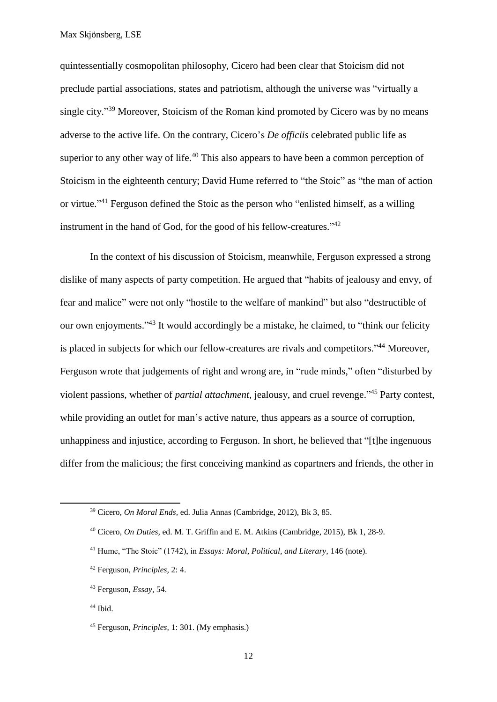quintessentially cosmopolitan philosophy, Cicero had been clear that Stoicism did not preclude partial associations, states and patriotism, although the universe was "virtually a single city."<sup>39</sup> Moreover, Stoicism of the Roman kind promoted by Cicero was by no means adverse to the active life. On the contrary, Cicero's *De officiis* celebrated public life as superior to any other way of life.<sup>40</sup> This also appears to have been a common perception of Stoicism in the eighteenth century; David Hume referred to "the Stoic" as "the man of action or virtue."<sup>41</sup> Ferguson defined the Stoic as the person who "enlisted himself, as a willing instrument in the hand of God, for the good of his fellow-creatures."<sup>42</sup>

In the context of his discussion of Stoicism, meanwhile, Ferguson expressed a strong dislike of many aspects of party competition. He argued that "habits of jealousy and envy, of fear and malice" were not only "hostile to the welfare of mankind" but also "destructible of our own enjoyments."<sup>43</sup> It would accordingly be a mistake, he claimed, to "think our felicity is placed in subjects for which our fellow-creatures are rivals and competitors."<sup>44</sup> Moreover, Ferguson wrote that judgements of right and wrong are, in "rude minds," often "disturbed by violent passions, whether of *partial attachment*, jealousy, and cruel revenge." <sup>45</sup> Party contest, while providing an outlet for man's active nature, thus appears as a source of corruption, unhappiness and injustice, according to Ferguson. In short, he believed that "[t]he ingenuous differ from the malicious; the first conceiving mankind as copartners and friends, the other in

<sup>39</sup> Cicero, *On Moral Ends,* ed. Julia Annas (Cambridge, 2012), Bk 3, 85.

<sup>40</sup> Cicero, *On Duties,* ed. M. T. Griffin and E. M. Atkins (Cambridge, 2015), Bk 1, 28-9.

<sup>41</sup> Hume, "The Stoic" (1742), in *Essays: Moral, Political, and Literary,* 146 (note).

<sup>42</sup> Ferguson, *Principles,* 2: 4.

<sup>43</sup> Ferguson, *Essay*, 54.

<sup>44</sup> Ibid.

<sup>45</sup> Ferguson, *Principles,* 1: 301. (My emphasis.)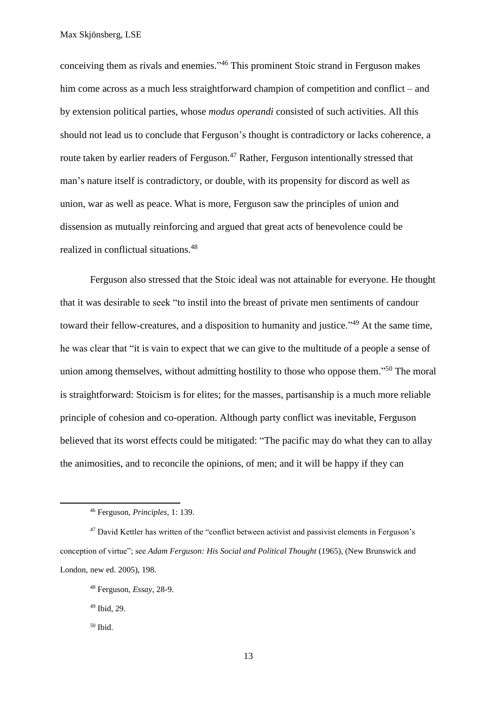conceiving them as rivals and enemies." <sup>46</sup> This prominent Stoic strand in Ferguson makes him come across as a much less straightforward champion of competition and conflict – and by extension political parties, whose *modus operandi* consisted of such activities. All this should not lead us to conclude that Ferguson's thought is contradictory or lacks coherence, a route taken by earlier readers of Ferguson.<sup>47</sup> Rather, Ferguson intentionally stressed that man's nature itself is contradictory, or double, with its propensity for discord as well as union, war as well as peace. What is more, Ferguson saw the principles of union and dissension as mutually reinforcing and argued that great acts of benevolence could be realized in conflictual situations. 48

Ferguson also stressed that the Stoic ideal was not attainable for everyone. He thought that it was desirable to seek "to instil into the breast of private men sentiments of candour toward their fellow-creatures, and a disposition to humanity and justice."<sup>49</sup> At the same time, he was clear that "it is vain to expect that we can give to the multitude of a people a sense of union among themselves, without admitting hostility to those who oppose them."<sup>50</sup> The moral is straightforward: Stoicism is for elites; for the masses, partisanship is a much more reliable principle of cohesion and co-operation. Although party conflict was inevitable, Ferguson believed that its worst effects could be mitigated: "The pacific may do what they can to allay the animosities, and to reconcile the opinions, of men; and it will be happy if they can

<sup>46</sup> Ferguson, *Principles,* 1: 139.

<sup>&</sup>lt;sup>47</sup> David Kettler has written of the "conflict between activist and passivist elements in Ferguson's conception of virtue"; see *Adam Ferguson: His Social and Political Thought* (1965), (New Brunswick and London, new ed. 2005), 198.

<sup>48</sup> Ferguson, *Essay*, 28-9.

<sup>49</sup> Ibid, 29.

<sup>50</sup> Ibid.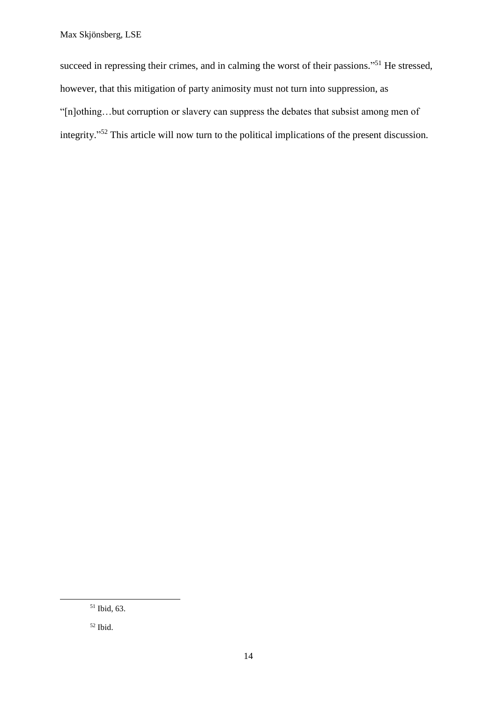succeed in repressing their crimes, and in calming the worst of their passions."<sup>51</sup> He stressed, however, that this mitigation of party animosity must not turn into suppression, as "[n]othing…but corruption or slavery can suppress the debates that subsist among men of integrity."<sup>52</sup> This article will now turn to the political implications of the present discussion.

<sup>51</sup> Ibid, 63.

<sup>52</sup> Ibid.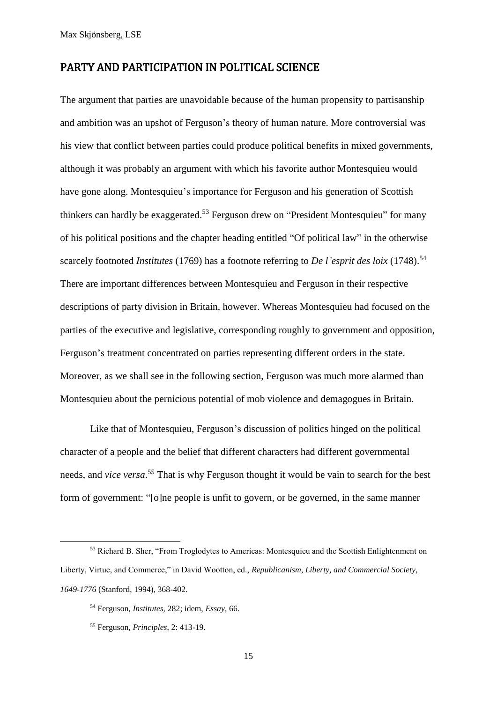#### PARTY AND PARTICIPATION IN POLITICAL SCIENCE

The argument that parties are unavoidable because of the human propensity to partisanship and ambition was an upshot of Ferguson's theory of human nature. More controversial was his view that conflict between parties could produce political benefits in mixed governments, although it was probably an argument with which his favorite author Montesquieu would have gone along. Montesquieu's importance for Ferguson and his generation of Scottish thinkers can hardly be exaggerated.<sup>53</sup> Ferguson drew on "President Montesquieu" for many of his political positions and the chapter heading entitled "Of political law" in the otherwise scarcely footnoted *Institutes* (1769) has a footnote referring to *De l'esprit des loix* (1748).<sup>54</sup> There are important differences between Montesquieu and Ferguson in their respective descriptions of party division in Britain, however. Whereas Montesquieu had focused on the parties of the executive and legislative, corresponding roughly to government and opposition, Ferguson's treatment concentrated on parties representing different orders in the state. Moreover, as we shall see in the following section, Ferguson was much more alarmed than Montesquieu about the pernicious potential of mob violence and demagogues in Britain.

Like that of Montesquieu, Ferguson's discussion of politics hinged on the political character of a people and the belief that different characters had different governmental needs, and *vice versa*. <sup>55</sup> That is why Ferguson thought it would be vain to search for the best form of government: "[o]ne people is unfit to govern, or be governed, in the same manner

<sup>53</sup> Richard B. Sher, "From Troglodytes to Americas: Montesquieu and the Scottish Enlightenment on Liberty, Virtue, and Commerce," in David Wootton, ed., *Republicanism, Liberty, and Commercial Society*, *1649-1776* (Stanford, 1994), 368-402.

<sup>54</sup> Ferguson, *Institutes*, 282; idem, *Essay,* 66.

<sup>55</sup> Ferguson, *Principles*, 2: 413-19.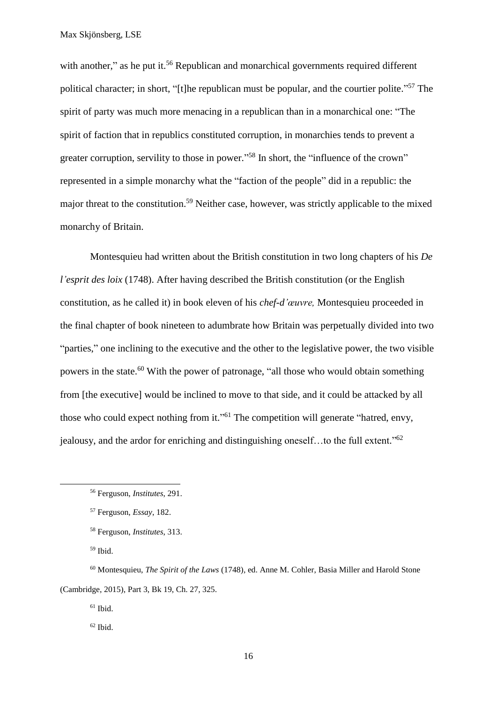with another," as he put it.<sup>56</sup> Republican and monarchical governments required different political character; in short, "[t]he republican must be popular, and the courtier polite."<sup>57</sup> The spirit of party was much more menacing in a republican than in a monarchical one: "The spirit of faction that in republics constituted corruption, in monarchies tends to prevent a greater corruption, servility to those in power."<sup>58</sup> In short, the "influence of the crown" represented in a simple monarchy what the "faction of the people" did in a republic: the major threat to the constitution.<sup>59</sup> Neither case, however, was strictly applicable to the mixed monarchy of Britain.

Montesquieu had written about the British constitution in two long chapters of his *De l'esprit des loix* (1748). After having described the British constitution (or the English constitution, as he called it) in book eleven of his *chef-d'œuvre,* Montesquieu proceeded in the final chapter of book nineteen to adumbrate how Britain was perpetually divided into two "parties," one inclining to the executive and the other to the legislative power, the two visible powers in the state.<sup>60</sup> With the power of patronage, "all those who would obtain something from [the executive] would be inclined to move to that side, and it could be attacked by all those who could expect nothing from it."<sup>61</sup> The competition will generate "hatred, envy, jealousy, and the ardor for enriching and distinguishing oneself...to the full extent."<sup>62</sup>

<sup>59</sup> Ibid.

**.** 

<sup>60</sup> Montesquieu, *The Spirit of the Laws* (1748)*,* ed. Anne M. Cohler, Basia Miller and Harold Stone (Cambridge, 2015), Part 3, Bk 19, Ch. 27, 325.

 $61$  Ibid.

 $62$  Ibid.

<sup>56</sup> Ferguson, *Institutes*, 291.

<sup>57</sup> Ferguson, *Essay*, 182.

<sup>58</sup> Ferguson, *Institutes*, 313.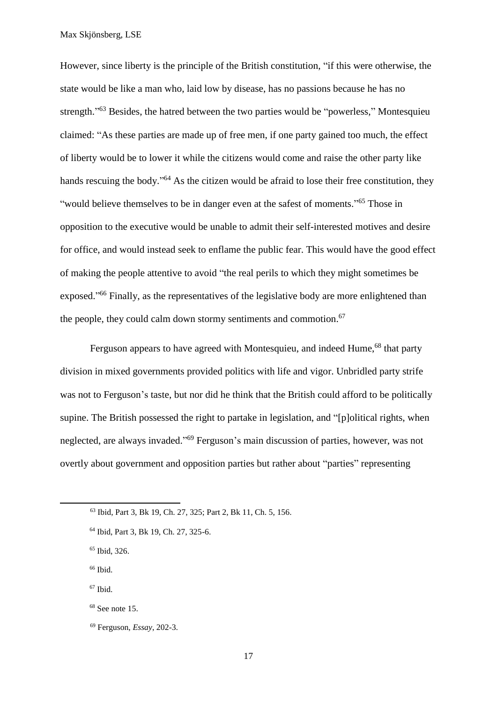However, since liberty is the principle of the British constitution, "if this were otherwise, the state would be like a man who, laid low by disease, has no passions because he has no strength."<sup>63</sup> Besides, the hatred between the two parties would be "powerless," Montesquieu claimed: "As these parties are made up of free men, if one party gained too much, the effect of liberty would be to lower it while the citizens would come and raise the other party like hands rescuing the body."<sup>64</sup> As the citizen would be afraid to lose their free constitution, they "would believe themselves to be in danger even at the safest of moments."<sup>65</sup> Those in opposition to the executive would be unable to admit their self-interested motives and desire for office, and would instead seek to enflame the public fear. This would have the good effect of making the people attentive to avoid "the real perils to which they might sometimes be exposed."<sup>66</sup> Finally, as the representatives of the legislative body are more enlightened than the people, they could calm down stormy sentiments and commotion.<sup>67</sup>

Ferguson appears to have agreed with Montesquieu, and indeed Hume,<sup>68</sup> that party division in mixed governments provided politics with life and vigor. Unbridled party strife was not to Ferguson's taste, but nor did he think that the British could afford to be politically supine. The British possessed the right to partake in legislation, and "[p]olitical rights, when neglected, are always invaded." <sup>69</sup> Ferguson's main discussion of parties, however, was not overtly about government and opposition parties but rather about "parties" representing

<sup>66</sup> Ibid.

**.** 

<sup>67</sup> Ibid.

<sup>69</sup> Ferguson, *Essay*, 202-3.

<sup>63</sup> Ibid, Part 3, Bk 19, Ch. 27, 325; Part 2, Bk 11, Ch. 5, 156.

<sup>64</sup> Ibid, Part 3, Bk 19, Ch. 27, 325-6.

<sup>65</sup> Ibid, 326.

 $68$  See note 15.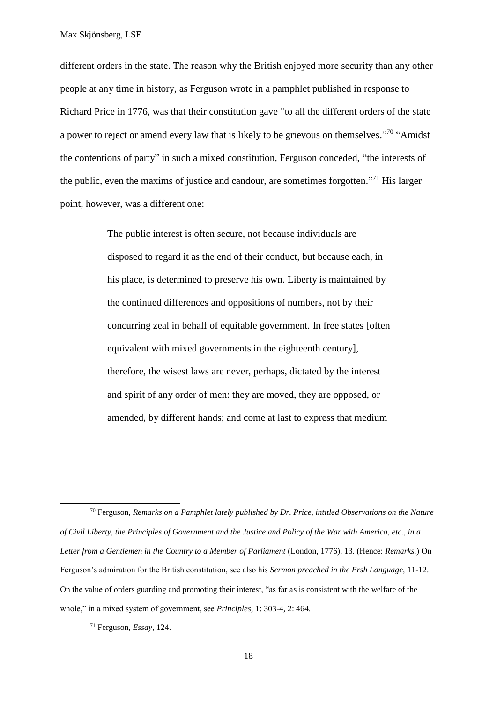different orders in the state. The reason why the British enjoyed more security than any other people at any time in history, as Ferguson wrote in a pamphlet published in response to Richard Price in 1776, was that their constitution gave "to all the different orders of the state a power to reject or amend every law that is likely to be grievous on themselves."<sup>70</sup> "Amidst the contentions of party" in such a mixed constitution, Ferguson conceded, "the interests of the public, even the maxims of justice and candour, are sometimes forgotten."<sup>71</sup> His larger point, however, was a different one:

> The public interest is often secure, not because individuals are disposed to regard it as the end of their conduct, but because each, in his place, is determined to preserve his own. Liberty is maintained by the continued differences and oppositions of numbers, not by their concurring zeal in behalf of equitable government. In free states [often equivalent with mixed governments in the eighteenth century], therefore, the wisest laws are never, perhaps, dictated by the interest and spirit of any order of men: they are moved, they are opposed, or amended, by different hands; and come at last to express that medium

<sup>70</sup> Ferguson, *Remarks on a Pamphlet lately published by Dr. Price, intitled Observations on the Nature of Civil Liberty, the Principles of Government and the Justice and Policy of the War with America, etc., in a Letter from a Gentlemen in the Country to a Member of Parliament* (London, 1776), 13. (Hence: *Remarks.*) On Ferguson's admiration for the British constitution, see also his *Sermon preached in the Ersh Language,* 11-12. On the value of orders guarding and promoting their interest, "as far as is consistent with the welfare of the whole," in a mixed system of government, see *Principles,* 1: 303-4, 2: 464.

<sup>71</sup> Ferguson, *Essay*, 124.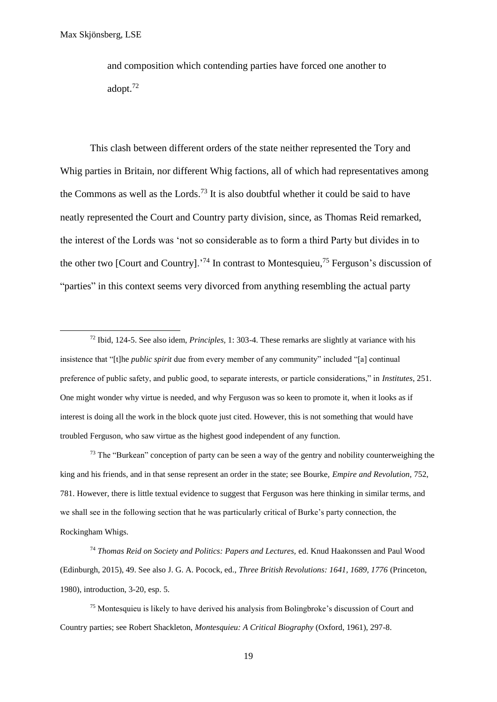**.** 

and composition which contending parties have forced one another to adopt.<sup>72</sup>

This clash between different orders of the state neither represented the Tory and Whig parties in Britain, nor different Whig factions, all of which had representatives among the Commons as well as the Lords.<sup>73</sup> It is also doubtful whether it could be said to have neatly represented the Court and Country party division, since, as Thomas Reid remarked, the interest of the Lords was 'not so considerable as to form a third Party but divides in to the other two [Court and Country].<sup>74</sup> In contrast to Montesquieu,<sup>75</sup> Ferguson's discussion of "parties" in this context seems very divorced from anything resembling the actual party

<sup>72</sup> Ibid, 124-5. See also idem, *Principles,* 1: 303-4. These remarks are slightly at variance with his insistence that "[t]he *public spirit* due from every member of any community" included "[a] continual preference of public safety, and public good, to separate interests, or particle considerations," in *Institutes*, 251. One might wonder why virtue is needed, and why Ferguson was so keen to promote it, when it looks as if interest is doing all the work in the block quote just cited. However, this is not something that would have troubled Ferguson, who saw virtue as the highest good independent of any function.

<sup>73</sup> The "Burkean" conception of party can be seen a way of the gentry and nobility counterweighing the king and his friends, and in that sense represent an order in the state; see Bourke, *Empire and Revolution,* 752, 781. However, there is little textual evidence to suggest that Ferguson was here thinking in similar terms, and we shall see in the following section that he was particularly critical of Burke's party connection, the Rockingham Whigs.

<sup>74</sup> *Thomas Reid on Society and Politics: Papers and Lectures,* ed. Knud Haakonssen and Paul Wood (Edinburgh, 2015), 49. See also J. G. A. Pocock, ed., *Three British Revolutions: 1641, 1689, 1776* (Princeton, 1980), introduction, 3-20, esp. 5.

<sup>75</sup> Montesquieu is likely to have derived his analysis from Bolingbroke's discussion of Court and Country parties; see Robert Shackleton, *Montesquieu: A Critical Biography* (Oxford, 1961), 297-8.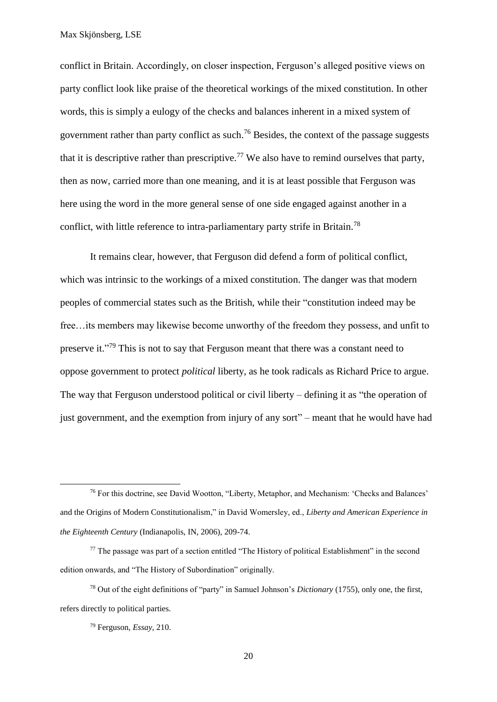conflict in Britain. Accordingly, on closer inspection, Ferguson's alleged positive views on party conflict look like praise of the theoretical workings of the mixed constitution. In other words, this is simply a eulogy of the checks and balances inherent in a mixed system of government rather than party conflict as such. <sup>76</sup> Besides, the context of the passage suggests that it is descriptive rather than prescriptive.<sup>77</sup> We also have to remind ourselves that party, then as now, carried more than one meaning, and it is at least possible that Ferguson was here using the word in the more general sense of one side engaged against another in a conflict, with little reference to intra-parliamentary party strife in Britain.<sup>78</sup>

It remains clear, however, that Ferguson did defend a form of political conflict, which was intrinsic to the workings of a mixed constitution. The danger was that modern peoples of commercial states such as the British, while their "constitution indeed may be free…its members may likewise become unworthy of the freedom they possess, and unfit to preserve it."<sup>79</sup> This is not to say that Ferguson meant that there was a constant need to oppose government to protect *political* liberty, as he took radicals as Richard Price to argue. The way that Ferguson understood political or civil liberty – defining it as "the operation of just government, and the exemption from injury of any sort" – meant that he would have had

<sup>76</sup> For this doctrine, see David Wootton, "Liberty, Metaphor, and Mechanism: 'Checks and Balances' and the Origins of Modern Constitutionalism," in David Womersley, ed., *Liberty and American Experience in the Eighteenth Century* (Indianapolis, IN, 2006), 209-74.

<sup>&</sup>lt;sup>77</sup> The passage was part of a section entitled "The History of political Establishment" in the second edition onwards, and "The History of Subordination" originally.

<sup>78</sup> Out of the eight definitions of "party" in Samuel Johnson's *Dictionary* (1755), only one, the first, refers directly to political parties.

<sup>79</sup> Ferguson, *Essay,* 210.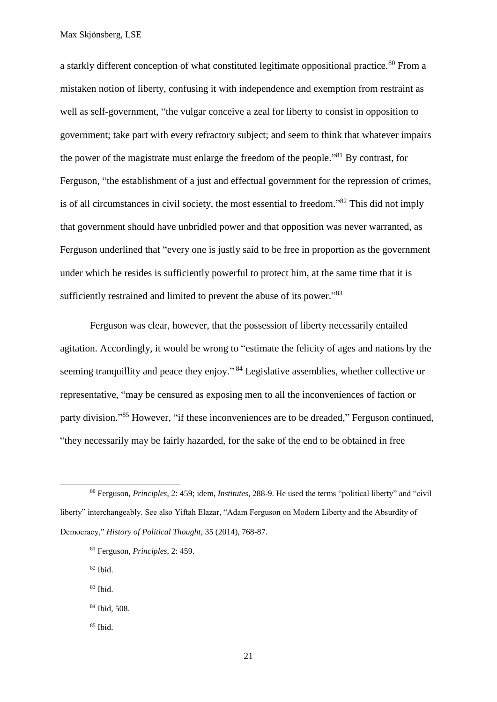a starkly different conception of what constituted legitimate oppositional practice.<sup>80</sup> From a mistaken notion of liberty, confusing it with independence and exemption from restraint as well as self-government, "the vulgar conceive a zeal for liberty to consist in opposition to government; take part with every refractory subject; and seem to think that whatever impairs the power of the magistrate must enlarge the freedom of the people."<sup>81</sup> By contrast, for Ferguson, "the establishment of a just and effectual government for the repression of crimes, is of all circumstances in civil society, the most essential to freedom."<sup>82</sup> This did not imply that government should have unbridled power and that opposition was never warranted, as Ferguson underlined that "every one is justly said to be free in proportion as the government under which he resides is sufficiently powerful to protect him, at the same time that it is sufficiently restrained and limited to prevent the abuse of its power."<sup>83</sup>

Ferguson was clear, however, that the possession of liberty necessarily entailed agitation. Accordingly, it would be wrong to "estimate the felicity of ages and nations by the seeming tranquillity and peace they enjoy."<sup>84</sup> Legislative assemblies, whether collective or representative, "may be censured as exposing men to all the inconveniences of faction or party division."<sup>85</sup> However, "if these inconveniences are to be dreaded," Ferguson continued, "they necessarily may be fairly hazarded, for the sake of the end to be obtained in free

 $82$  Ibid.

- <sup>83</sup> Ibid.
- <sup>84</sup> Ibid, 508.
- $85$  Ibid.

<sup>80</sup> Ferguson, *Principles*, 2: 459; idem, *Institutes*, 288-9. He used the terms "political liberty" and "civil liberty" interchangeably. See also Yiftah Elazar, "Adam Ferguson on Modern Liberty and the Absurdity of Democracy," *History of Political Thought,* 35 (2014), 768-87.

<sup>81</sup> Ferguson, *Principles*, 2: 459.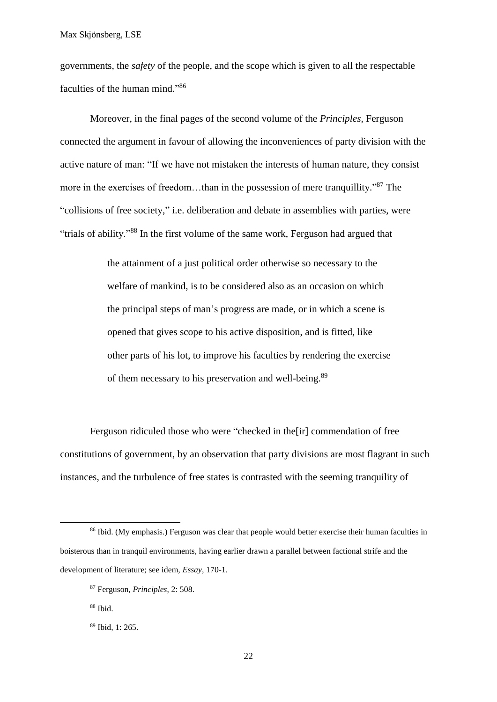governments, the *safety* of the people, and the scope which is given to all the respectable faculties of the human mind."86

Moreover, in the final pages of the second volume of the *Principles,* Ferguson connected the argument in favour of allowing the inconveniences of party division with the active nature of man: "If we have not mistaken the interests of human nature, they consist more in the exercises of freedom...than in the possession of mere tranquillity."<sup>87</sup> The "collisions of free society," i.e. deliberation and debate in assemblies with parties, were "trials of ability."88 In the first volume of the same work, Ferguson had argued that

> the attainment of a just political order otherwise so necessary to the welfare of mankind, is to be considered also as an occasion on which the principal steps of man's progress are made, or in which a scene is opened that gives scope to his active disposition, and is fitted, like other parts of his lot, to improve his faculties by rendering the exercise of them necessary to his preservation and well-being.<sup>89</sup>

Ferguson ridiculed those who were "checked in the[ir] commendation of free constitutions of government, by an observation that party divisions are most flagrant in such instances, and the turbulence of free states is contrasted with the seeming tranquility of

1

<sup>&</sup>lt;sup>86</sup> Ibid. (My emphasis.) Ferguson was clear that people would better exercise their human faculties in boisterous than in tranquil environments, having earlier drawn a parallel between factional strife and the development of literature; see idem, *Essay,* 170-1.

<sup>87</sup> Ferguson, *Principles*, 2: 508.

<sup>88</sup> Ibid.

<sup>89</sup> Ibid, 1: 265.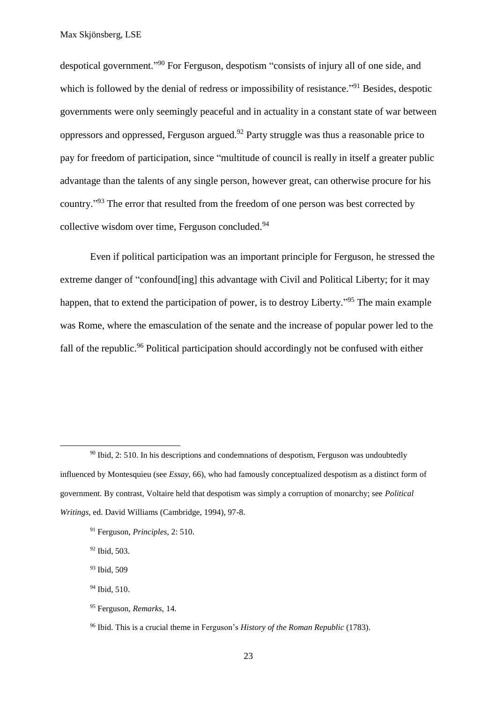despotical government."<sup>90</sup> For Ferguson, despotism "consists of injury all of one side, and which is followed by the denial of redress or impossibility of resistance."<sup>91</sup> Besides, despotic governments were only seemingly peaceful and in actuality in a constant state of war between oppressors and oppressed, Ferguson argued.<sup>92</sup> Party struggle was thus a reasonable price to pay for freedom of participation, since "multitude of council is really in itself a greater public advantage than the talents of any single person, however great, can otherwise procure for his country."<sup>93</sup> The error that resulted from the freedom of one person was best corrected by collective wisdom over time, Ferguson concluded.<sup>94</sup>

Even if political participation was an important principle for Ferguson, he stressed the extreme danger of "confound ling] this advantage with Civil and Political Liberty; for it may happen, that to extend the participation of power, is to destroy Liberty."<sup>95</sup> The main example was Rome, where the emasculation of the senate and the increase of popular power led to the fall of the republic.<sup>96</sup> Political participation should accordingly not be confused with either

<sup>91</sup> Ferguson, *Principles*, 2: 510.

<sup>92</sup> Ibid, 503.

**.** 

<sup>93</sup> Ibid, 509

- <sup>94</sup> Ibid, 510.
- <sup>95</sup> Ferguson, *Remarks,* 14.

 $90$  Ibid, 2: 510. In his descriptions and condemnations of despotism, Ferguson was undoubtedly influenced by Montesquieu (see *Essay,* 66), who had famously conceptualized despotism as a distinct form of government. By contrast, Voltaire held that despotism was simply a corruption of monarchy; see *Political Writings,* ed. David Williams (Cambridge, 1994), 97-8.

<sup>96</sup> Ibid. This is a crucial theme in Ferguson's *History of the Roman Republic* (1783).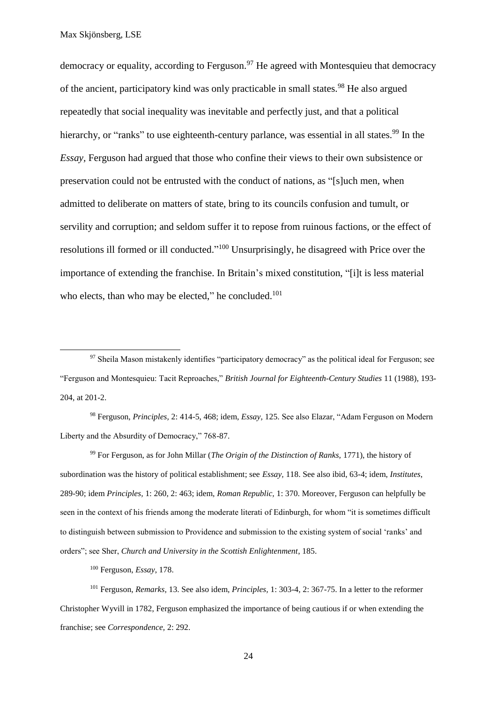**.** 

democracy or equality, according to Ferguson.<sup>97</sup> He agreed with Montesquieu that democracy of the ancient, participatory kind was only practicable in small states.<sup>98</sup> He also argued repeatedly that social inequality was inevitable and perfectly just, and that a political hierarchy, or "ranks" to use eighteenth-century parlance, was essential in all states.<sup>99</sup> In the *Essay,* Ferguson had argued that those who confine their views to their own subsistence or preservation could not be entrusted with the conduct of nations, as "[s]uch men, when admitted to deliberate on matters of state, bring to its councils confusion and tumult, or servility and corruption; and seldom suffer it to repose from ruinous factions, or the effect of resolutions ill formed or ill conducted."<sup>100</sup> Unsurprisingly, he disagreed with Price over the importance of extending the franchise. In Britain's mixed constitution, "[i]t is less material who elects, than who may be elected," he concluded. $101$ 

<sup>98</sup> Ferguson, *Principles,* 2: 414-5, 468; idem, *Essay,* 125. See also Elazar, "Adam Ferguson on Modern Liberty and the Absurdity of Democracy," 768-87.

<sup>99</sup> For Ferguson, as for John Millar (*The Origin of the Distinction of Ranks,* 1771), the history of subordination was the history of political establishment; see *Essay,* 118. See also ibid, 63-4; idem, *Institutes*, 289-90; idem *Principles,* 1: 260, 2: 463; idem, *Roman Republic,* 1: 370. Moreover, Ferguson can helpfully be seen in the context of his friends among the moderate literati of Edinburgh, for whom "it is sometimes difficult to distinguish between submission to Providence and submission to the existing system of social 'ranks' and orders"; see Sher, *Church and University in the Scottish Enlightenment*, 185.

<sup>100</sup> Ferguson, *Essay*, 178.

<sup>101</sup> Ferguson, *Remarks,* 13. See also idem, *Principles,* 1: 303-4, 2: 367-75. In a letter to the reformer Christopher Wyvill in 1782, Ferguson emphasized the importance of being cautious if or when extending the franchise; see *Correspondence,* 2: 292.

 $97$  Sheila Mason mistakenly identifies "participatory democracy" as the political ideal for Ferguson; see "Ferguson and Montesquieu: Tacit Reproaches," *British Journal for Eighteenth-Century Studies* 11 (1988), 193- 204, at 201-2.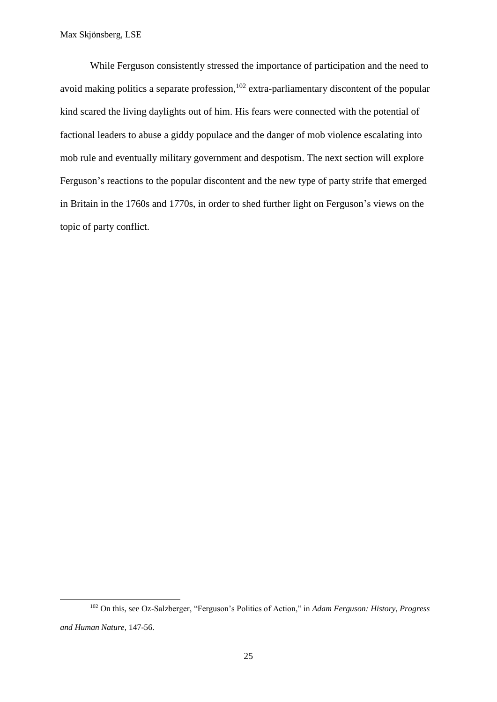**.** 

While Ferguson consistently stressed the importance of participation and the need to avoid making politics a separate profession,  $102$  extra-parliamentary discontent of the popular kind scared the living daylights out of him. His fears were connected with the potential of factional leaders to abuse a giddy populace and the danger of mob violence escalating into mob rule and eventually military government and despotism. The next section will explore Ferguson's reactions to the popular discontent and the new type of party strife that emerged in Britain in the 1760s and 1770s, in order to shed further light on Ferguson's views on the topic of party conflict.

<sup>102</sup> On this, see Oz-Salzberger, "Ferguson's Politics of Action," in *Adam Ferguson: History, Progress and Human Nature,* 147-56.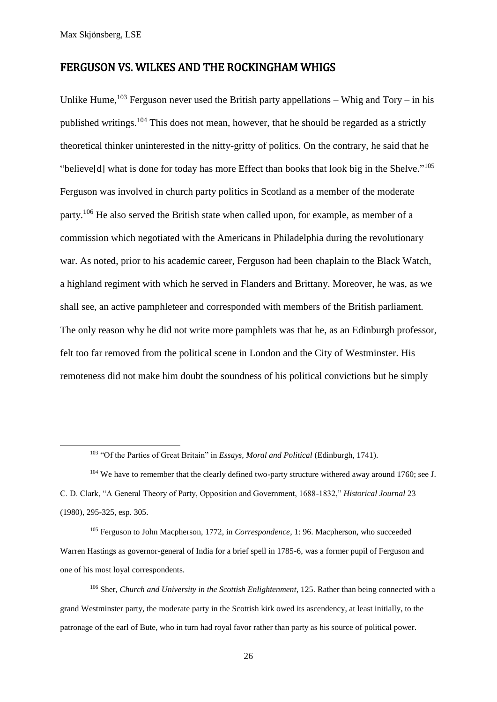**.** 

#### FERGUSON VS. WILKES AND THE ROCKINGHAM WHIGS

Unlike Hume,  $103$  Ferguson never used the British party appellations – Whig and Tory – in his published writings.<sup>104</sup> This does not mean, however, that he should be regarded as a strictly theoretical thinker uninterested in the nitty-gritty of politics. On the contrary, he said that he "believe[d] what is done for today has more Effect than books that look big in the Shelve."<sup>105</sup> Ferguson was involved in church party politics in Scotland as a member of the moderate party.<sup>106</sup> He also served the British state when called upon, for example, as member of a commission which negotiated with the Americans in Philadelphia during the revolutionary war. As noted, prior to his academic career, Ferguson had been chaplain to the Black Watch, a highland regiment with which he served in Flanders and Brittany. Moreover, he was, as we shall see, an active pamphleteer and corresponded with members of the British parliament. The only reason why he did not write more pamphlets was that he, as an Edinburgh professor, felt too far removed from the political scene in London and the City of Westminster. His remoteness did not make him doubt the soundness of his political convictions but he simply

<sup>105</sup> Ferguson to John Macpherson, 1772, in *Correspondence*, 1: 96. Macpherson, who succeeded Warren Hastings as governor-general of India for a brief spell in 1785-6, was a former pupil of Ferguson and one of his most loyal correspondents.

<sup>103</sup> "Of the Parties of Great Britain" in *Essays, Moral and Political* (Edinburgh, 1741).

<sup>&</sup>lt;sup>104</sup> We have to remember that the clearly defined two-party structure withered away around 1760; see J. C. D. Clark, "A General Theory of Party, Opposition and Government, 1688-1832," *Historical Journal* 23 (1980), 295-325, esp. 305.

<sup>106</sup> Sher, *Church and University in the Scottish Enlightenment*, 125. Rather than being connected with a grand Westminster party, the moderate party in the Scottish kirk owed its ascendency, at least initially, to the patronage of the earl of Bute, who in turn had royal favor rather than party as his source of political power.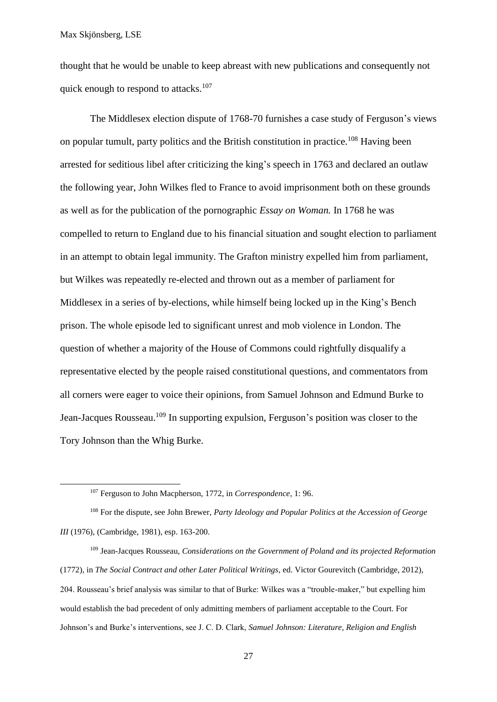**.** 

thought that he would be unable to keep abreast with new publications and consequently not quick enough to respond to attacks.<sup>107</sup>

The Middlesex election dispute of 1768-70 furnishes a case study of Ferguson's views on popular tumult, party politics and the British constitution in practice.<sup>108</sup> Having been arrested for seditious libel after criticizing the king's speech in 1763 and declared an outlaw the following year, John Wilkes fled to France to avoid imprisonment both on these grounds as well as for the publication of the pornographic *Essay on Woman.* In 1768 he was compelled to return to England due to his financial situation and sought election to parliament in an attempt to obtain legal immunity. The Grafton ministry expelled him from parliament, but Wilkes was repeatedly re-elected and thrown out as a member of parliament for Middlesex in a series of by-elections, while himself being locked up in the King's Bench prison. The whole episode led to significant unrest and mob violence in London. The question of whether a majority of the House of Commons could rightfully disqualify a representative elected by the people raised constitutional questions, and commentators from all corners were eager to voice their opinions, from Samuel Johnson and Edmund Burke to Jean-Jacques Rousseau.<sup>109</sup> In supporting expulsion, Ferguson's position was closer to the Tory Johnson than the Whig Burke.

<sup>108</sup> For the dispute, see John Brewer, *Party Ideology and Popular Politics at the Accession of George III* (1976), (Cambridge, 1981), esp. 163-200.

<sup>109</sup> Jean-Jacques Rousseau, *Considerations on the Government of Poland and its projected Reformation*  (1772)*,* in *The Social Contract and other Later Political Writings*, ed. Victor Gourevitch (Cambridge, 2012), 204. Rousseau's brief analysis was similar to that of Burke: Wilkes was a "trouble-maker," but expelling him would establish the bad precedent of only admitting members of parliament acceptable to the Court. For Johnson's and Burke's interventions, see J. C. D. Clark, *Samuel Johnson: Literature, Religion and English* 

<sup>107</sup> Ferguson to John Macpherson, 1772, in *Correspondence*, 1: 96.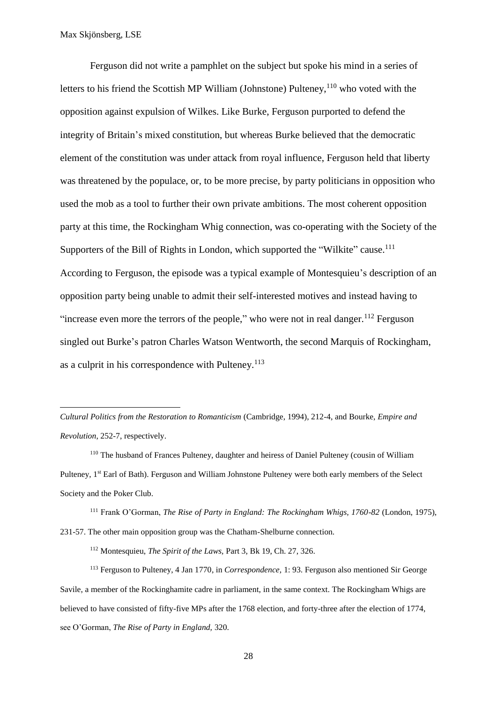**.** 

Ferguson did not write a pamphlet on the subject but spoke his mind in a series of letters to his friend the Scottish MP William (Johnstone) Pulteney,  $110$  who voted with the opposition against expulsion of Wilkes. Like Burke, Ferguson purported to defend the integrity of Britain's mixed constitution, but whereas Burke believed that the democratic element of the constitution was under attack from royal influence, Ferguson held that liberty was threatened by the populace, or, to be more precise, by party politicians in opposition who used the mob as a tool to further their own private ambitions. The most coherent opposition party at this time, the Rockingham Whig connection, was co-operating with the Society of the Supporters of the Bill of Rights in London, which supported the "Wilkite" cause.<sup>111</sup> According to Ferguson, the episode was a typical example of Montesquieu's description of an opposition party being unable to admit their self-interested motives and instead having to "increase even more the terrors of the people," who were not in real danger.<sup>112</sup> Ferguson singled out Burke's patron Charles Watson Wentworth, the second Marquis of Rockingham, as a culprit in his correspondence with Pulteney.<sup>113</sup>

*Cultural Politics from the Restoration to Romanticism* (Cambridge, 1994), 212-4, and Bourke, *Empire and Revolution*, 252-7, respectively.

<sup>110</sup> The husband of Frances Pulteney, daughter and heiress of Daniel Pulteney (cousin of William Pulteney, 1<sup>st</sup> Earl of Bath). Ferguson and William Johnstone Pulteney were both early members of the Select Society and the Poker Club.

<sup>111</sup> Frank O'Gorman, *The Rise of Party in England: The Rockingham Whigs, 1760-82* (London, 1975), 231-57. The other main opposition group was the Chatham-Shelburne connection.

<sup>112</sup> Montesquieu, *The Spirit of the Laws,* Part 3, Bk 19, Ch. 27, 326.

<sup>113</sup> Ferguson to Pulteney, 4 Jan 1770, in *Correspondence,* 1: 93. Ferguson also mentioned Sir George Savile, a member of the Rockinghamite cadre in parliament, in the same context. The Rockingham Whigs are believed to have consisted of fifty-five MPs after the 1768 election, and forty-three after the election of 1774, see O'Gorman, *The Rise of Party in England,* 320.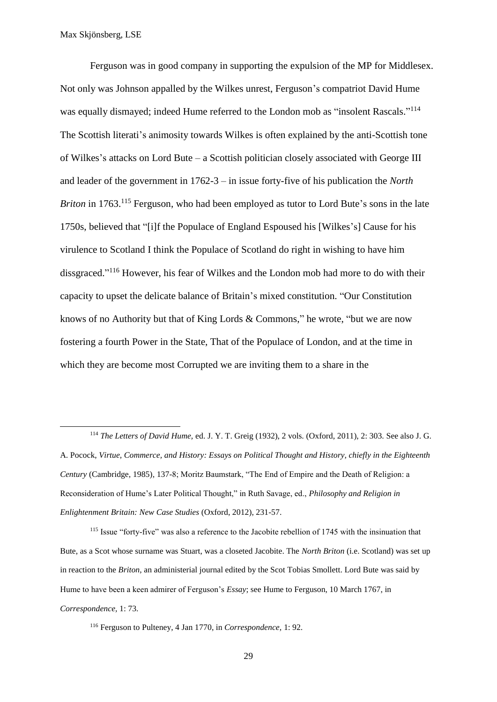$\overline{a}$ 

Ferguson was in good company in supporting the expulsion of the MP for Middlesex. Not only was Johnson appalled by the Wilkes unrest, Ferguson's compatriot David Hume was equally dismayed; indeed Hume referred to the London mob as "insolent Rascals."<sup>114</sup> The Scottish literati's animosity towards Wilkes is often explained by the anti-Scottish tone of Wilkes's attacks on Lord Bute – a Scottish politician closely associated with George III and leader of the government in 1762-3 – in issue forty-five of his publication the *North Briton* in 1763.<sup>115</sup> Ferguson, who had been employed as tutor to Lord Bute's sons in the late 1750s, believed that "[i]f the Populace of England Espoused his [Wilkes's] Cause for his virulence to Scotland I think the Populace of Scotland do right in wishing to have him dissgraced." <sup>116</sup> However, his fear of Wilkes and the London mob had more to do with their capacity to upset the delicate balance of Britain's mixed constitution. "Our Constitution knows of no Authority but that of King Lords & Commons," he wrote, "but we are now fostering a fourth Power in the State, That of the Populace of London, and at the time in which they are become most Corrupted we are inviting them to a share in the

<sup>115</sup> Issue "forty-five" was also a reference to the Jacobite rebellion of 1745 with the insinuation that Bute, as a Scot whose surname was Stuart, was a closeted Jacobite. The *North Briton* (i.e. Scotland) was set up in reaction to the *Briton,* an administerial journal edited by the Scot Tobias Smollett. Lord Bute was said by Hume to have been a keen admirer of Ferguson's *Essay*; see Hume to Ferguson, 10 March 1767, in *Correspondence,* 1: 73.

<sup>114</sup> *The Letters of David Hume,* ed. J. Y. T. Greig (1932), 2 vols. (Oxford, 2011), 2: 303. See also J. G. A. Pocock, *Virtue, Commerce, and History: Essays on Political Thought and History, chiefly in the Eighteenth Century* (Cambridge, 1985)*,* 137-8; Moritz Baumstark, "The End of Empire and the Death of Religion: a Reconsideration of Hume's Later Political Thought," in Ruth Savage, ed., *Philosophy and Religion in Enlightenment Britain: New Case Studies* (Oxford, 2012), 231-57.

<sup>116</sup> Ferguson to Pulteney, 4 Jan 1770, in *Correspondence,* 1: 92.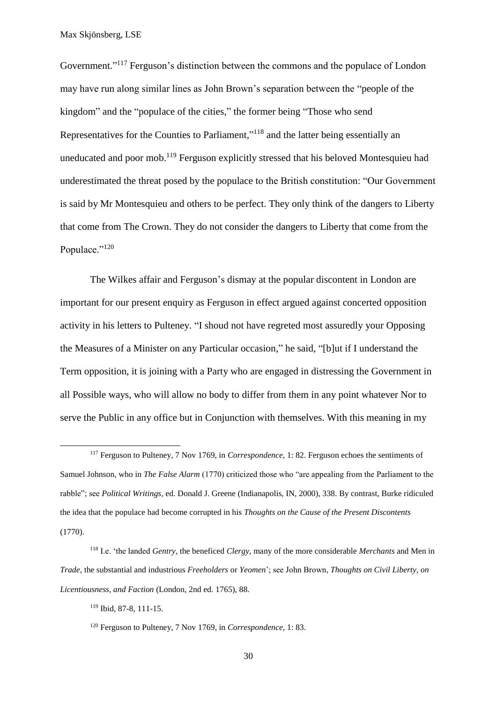Government."<sup>117</sup> Ferguson's distinction between the commons and the populace of London may have run along similar lines as John Brown's separation between the "people of the kingdom" and the "populace of the cities," the former being "Those who send Representatives for the Counties to Parliament,"<sup>118</sup> and the latter being essentially an uneducated and poor mob.<sup>119</sup> Ferguson explicitly stressed that his beloved Montesquieu had underestimated the threat posed by the populace to the British constitution: "Our Government is said by Mr Montesquieu and others to be perfect. They only think of the dangers to Liberty that come from The Crown. They do not consider the dangers to Liberty that come from the Populace."<sup>120</sup>

The Wilkes affair and Ferguson's dismay at the popular discontent in London are important for our present enquiry as Ferguson in effect argued against concerted opposition activity in his letters to Pulteney. "I shoud not have regreted most assuredly your Opposing the Measures of a Minister on any Particular occasion," he said, "[b]ut if I understand the Term opposition, it is joining with a Party who are engaged in distressing the Government in all Possible ways, who will allow no body to differ from them in any point whatever Nor to serve the Public in any office but in Conjunction with themselves. With this meaning in my

<sup>117</sup> Ferguson to Pulteney, 7 Nov 1769, in *Correspondence,* 1: 82. Ferguson echoes the sentiments of Samuel Johnson, who in *The False Alarm* (1770) criticized those who "are appealing from the Parliament to the rabble"; see *Political Writings*, ed. Donald J. Greene (Indianapolis, IN, 2000), 338. By contrast, Burke ridiculed the idea that the populace had become corrupted in his *Thoughts on the Cause of the Present Discontents*  (1770).

<sup>118</sup> I.e. 'the landed *Gentry,* the beneficed *Clergy,* many of the more considerable *Merchants* and Men in *Trade,* the substantial and industrious *Freeholders* or *Yeomen*'; see John Brown, *Thoughts on Civil Liberty, on Licentiousness, and Faction* (London, 2nd ed. 1765), 88.

<sup>119</sup> Ibid, 87-8, 111-15.

<sup>120</sup> Ferguson to Pulteney, 7 Nov 1769, in *Correspondence,* 1: 83.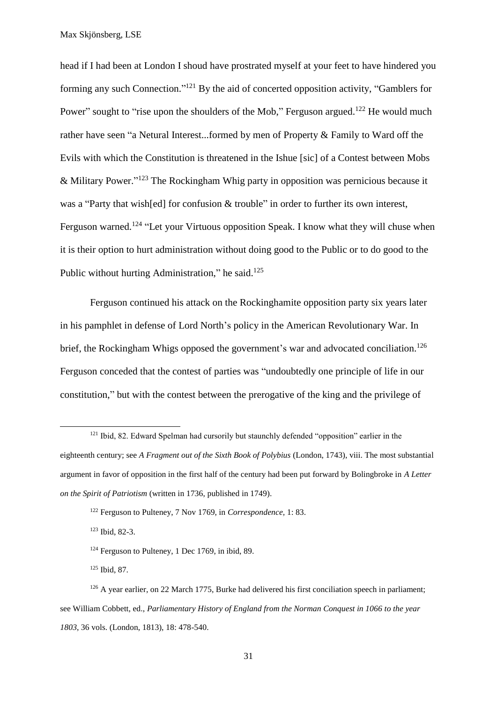head if I had been at London I shoud have prostrated myself at your feet to have hindered you forming any such Connection."<sup>121</sup> By the aid of concerted opposition activity, "Gamblers for Power" sought to "rise upon the shoulders of the Mob," Ferguson argued.<sup>122</sup> He would much rather have seen "a Netural Interest...formed by men of Property & Family to Ward off the Evils with which the Constitution is threatened in the Ishue [sic] of a Contest between Mobs & Military Power." <sup>123</sup> The Rockingham Whig party in opposition was pernicious because it was a "Party that wish[ed] for confusion & trouble" in order to further its own interest, Ferguson warned.<sup>124</sup> "Let your Virtuous opposition Speak. I know what they will chuse when it is their option to hurt administration without doing good to the Public or to do good to the Public without hurting Administration," he said. $125$ 

Ferguson continued his attack on the Rockinghamite opposition party six years later in his pamphlet in defense of Lord North's policy in the American Revolutionary War. In brief, the Rockingham Whigs opposed the government's war and advocated conciliation.<sup>126</sup> Ferguson conceded that the contest of parties was "undoubtedly one principle of life in our constitution," but with the contest between the prerogative of the king and the privilege of

 $\overline{a}$ 

<sup>&</sup>lt;sup>121</sup> Ibid, 82. Edward Spelman had cursorily but staunchly defended "opposition" earlier in the eighteenth century; see *A Fragment out of the Sixth Book of Polybius* (London, 1743), viii. The most substantial argument in favor of opposition in the first half of the century had been put forward by Bolingbroke in *A Letter on the Spirit of Patriotism* (written in 1736, published in 1749).

<sup>122</sup> Ferguson to Pulteney, 7 Nov 1769, in *Correspondence,* 1: 83.

<sup>123</sup> Ibid, 82-3.

 $124$  Ferguson to Pulteney, 1 Dec 1769, in ibid, 89.

<sup>125</sup> Ibid, 87.

<sup>&</sup>lt;sup>126</sup> A year earlier, on 22 March 1775, Burke had delivered his first conciliation speech in parliament; see William Cobbett, ed., *Parliamentary History of England from the Norman Conquest in 1066 to the year 1803*, 36 vols. (London, 1813), 18: 478-540.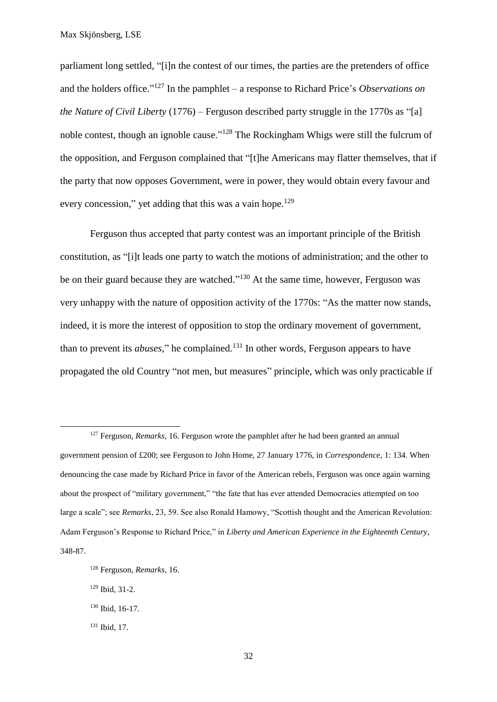parliament long settled, "[i]n the contest of our times, the parties are the pretenders of office and the holders office." <sup>127</sup> In the pamphlet – a response to Richard Price's *Observations on the Nature of Civil Liberty* (1776) – Ferguson described party struggle in the 1770s as "[a] noble contest, though an ignoble cause."<sup>128</sup> The Rockingham Whigs were still the fulcrum of the opposition, and Ferguson complained that "[t]he Americans may flatter themselves, that if the party that now opposes Government, were in power, they would obtain every favour and every concession," yet adding that this was a vain hope.<sup>129</sup>

Ferguson thus accepted that party contest was an important principle of the British constitution, as "[i]t leads one party to watch the motions of administration; and the other to be on their guard because they are watched."<sup>130</sup> At the same time, however, Ferguson was very unhappy with the nature of opposition activity of the 1770s: "As the matter now stands, indeed, it is more the interest of opposition to stop the ordinary movement of government, than to prevent its *abuses*," he complained.<sup>131</sup> In other words, Ferguson appears to have propagated the old Country "not men, but measures" principle, which was only practicable if

 $\overline{a}$ 

<sup>127</sup> Ferguson, *Remarks,* 16. Ferguson wrote the pamphlet after he had been granted an annual government pension of £200; see Ferguson to John Home, 27 January 1776, in *Correspondence,* 1: 134. When denouncing the case made by Richard Price in favor of the American rebels, Ferguson was once again warning about the prospect of "military government," "the fate that has ever attended Democracies attempted on too large a scale"; see *Remarks*, 23, 59. See also Ronald Hamowy, "Scottish thought and the American Revolution: Adam Ferguson's Response to Richard Price," in *Liberty and American Experience in the Eighteenth Century*, 348-87.

<sup>128</sup> Ferguson, *Remarks,* 16.

<sup>129</sup> Ibid*,* 31-2.

<sup>130</sup> Ibid, 16-17.

<sup>131</sup> Ibid, 17.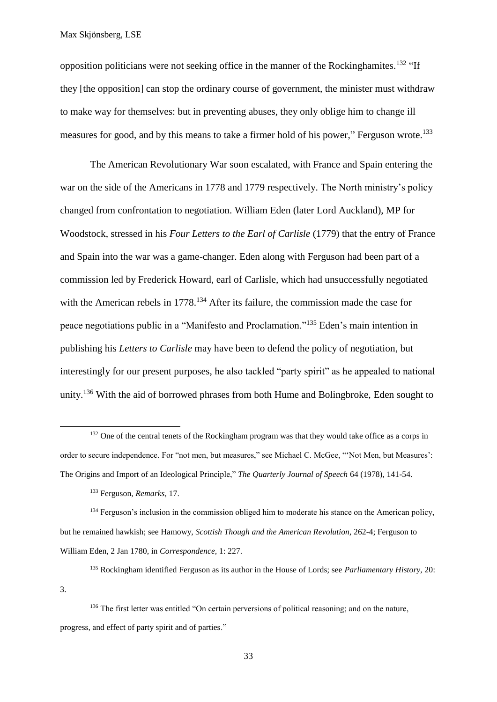opposition politicians were not seeking office in the manner of the Rockinghamites.<sup>132</sup> "If they [the opposition] can stop the ordinary course of government, the minister must withdraw to make way for themselves: but in preventing abuses, they only oblige him to change ill measures for good, and by this means to take a firmer hold of his power," Ferguson wrote.<sup>133</sup>

The American Revolutionary War soon escalated, with France and Spain entering the war on the side of the Americans in 1778 and 1779 respectively. The North ministry's policy changed from confrontation to negotiation. William Eden (later Lord Auckland), MP for Woodstock, stressed in his *Four Letters to the Earl of Carlisle* (1779) that the entry of France and Spain into the war was a game-changer. Eden along with Ferguson had been part of a commission led by Frederick Howard, earl of Carlisle, which had unsuccessfully negotiated with the American rebels in 1778.<sup>134</sup> After its failure, the commission made the case for peace negotiations public in a "Manifesto and Proclamation."<sup>135</sup> Eden's main intention in publishing his *Letters to Carlisle* may have been to defend the policy of negotiation, but interestingly for our present purposes, he also tackled "party spirit" as he appealed to national unity.<sup>136</sup> With the aid of borrowed phrases from both Hume and Bolingbroke, Eden sought to

<sup>132</sup> One of the central tenets of the Rockingham program was that they would take office as a corps in order to secure independence. For "not men, but measures," see Michael C. McGee, "'Not Men, but Measures': The Origins and Import of an Ideological Principle," *The Quarterly Journal of Speech* 64 (1978), 141-54.

<sup>134</sup> Ferguson's inclusion in the commission obliged him to moderate his stance on the American policy, but he remained hawkish; see Hamowy, *Scottish Though and the American Revolution,* 262-4; Ferguson to William Eden, 2 Jan 1780, in *Correspondence,* 1: 227.

<sup>135</sup> Rockingham identified Ferguson as its author in the House of Lords; see *Parliamentary History,* 20:

3.

 $\overline{a}$ 

<sup>133</sup> Ferguson, *Remarks,* 17.

<sup>&</sup>lt;sup>136</sup> The first letter was entitled "On certain perversions of political reasoning; and on the nature, progress, and effect of party spirit and of parties."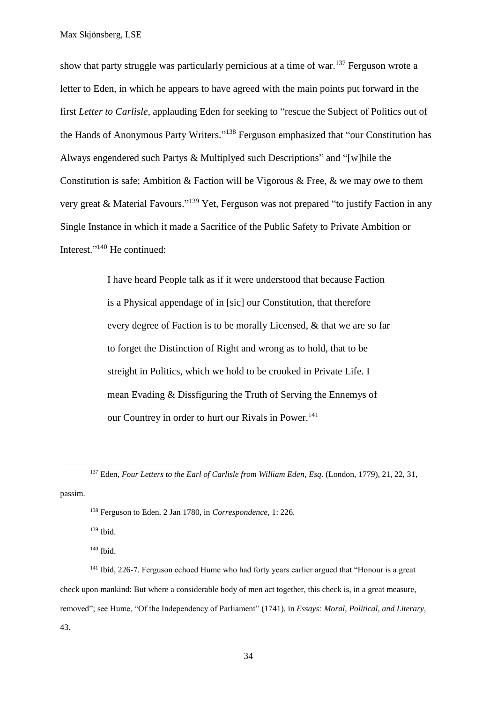show that party struggle was particularly pernicious at a time of war.<sup>137</sup> Ferguson wrote a letter to Eden, in which he appears to have agreed with the main points put forward in the first *Letter to Carlisle*, applauding Eden for seeking to "rescue the Subject of Politics out of the Hands of Anonymous Party Writers."<sup>138</sup> Ferguson emphasized that "our Constitution has Always engendered such Partys & Multiplyed such Descriptions" and "[w]hile the Constitution is safe; Ambition & Faction will be Vigorous & Free,  $\&$  we may owe to them very great & Material Favours."<sup>139</sup> Yet, Ferguson was not prepared "to justify Faction in any Single Instance in which it made a Sacrifice of the Public Safety to Private Ambition or Interest." <sup>140</sup> He continued:

> I have heard People talk as if it were understood that because Faction is a Physical appendage of in [sic] our Constitution, that therefore every degree of Faction is to be morally Licensed, & that we are so far to forget the Distinction of Right and wrong as to hold, that to be streight in Politics, which we hold to be crooked in Private Life. I mean Evading & Dissfiguring the Truth of Serving the Ennemys of our Countrey in order to hurt our Rivals in Power.<sup>141</sup>

passim.

1

<sup>139</sup> Ibid.

<sup>140</sup> Ibid.

<sup>141</sup> Ibid, 226-7. Ferguson echoed Hume who had forty years earlier argued that "Honour is a great check upon mankind: But where a considerable body of men act together, this check is, in a great measure, removed"; see Hume, "Of the Independency of Parliament" (1741), in *Essays: Moral, Political, and Literary,*  43.

<sup>137</sup> Eden, *Four Letters to the Earl of Carlisle from William Eden*, *Esq*. (London, 1779), 21, 22, 31,

<sup>138</sup> Ferguson to Eden, 2 Jan 1780, in *Correspondence,* 1: 226.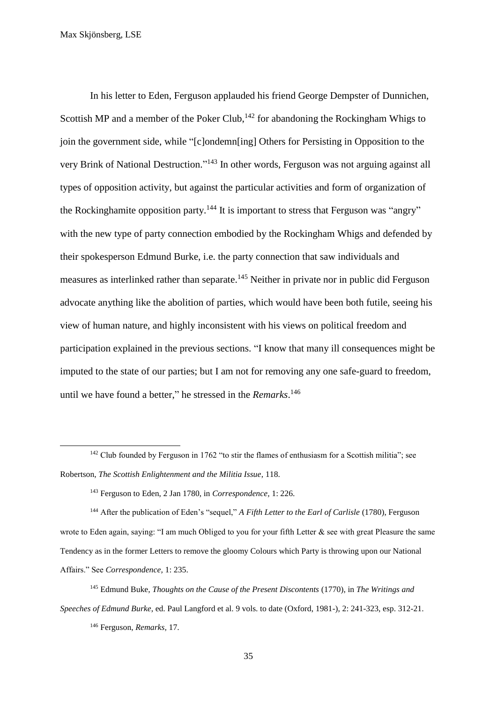In his letter to Eden, Ferguson applauded his friend George Dempster of Dunnichen, Scottish MP and a member of the Poker Club,  $142$  for abandoning the Rockingham Whigs to join the government side, while "[c]ondemn[ing] Others for Persisting in Opposition to the very Brink of National Destruction."<sup>143</sup> In other words, Ferguson was not arguing against all types of opposition activity*,* but against the particular activities and form of organization of the Rockinghamite opposition party.<sup>144</sup> It is important to stress that Ferguson was "angry" with the new type of party connection embodied by the Rockingham Whigs and defended by their spokesperson Edmund Burke, i.e. the party connection that saw individuals and measures as interlinked rather than separate.<sup>145</sup> Neither in private nor in public did Ferguson advocate anything like the abolition of parties, which would have been both futile, seeing his view of human nature, and highly inconsistent with his views on political freedom and participation explained in the previous sections. "I know that many ill consequences might be imputed to the state of our parties; but I am not for removing any one safe-guard to freedom, until we have found a better," he stressed in the *Remarks*. 146

<sup>&</sup>lt;sup>142</sup> Club founded by Ferguson in 1762 "to stir the flames of enthusiasm for a Scottish militia"; see Robertson, *The Scottish Enlightenment and the Militia Issue*, 118.

<sup>143</sup> Ferguson to Eden, 2 Jan 1780, in *Correspondence,* 1: 226.

<sup>144</sup> After the publication of Eden's "sequel," *A Fifth Letter to the Earl of Carlisle* (1780), Ferguson wrote to Eden again, saying: "I am much Obliged to you for your fifth Letter  $\&$  see with great Pleasure the same Tendency as in the former Letters to remove the gloomy Colours which Party is throwing upon our National Affairs." See *Correspondence,* 1: 235.

<sup>145</sup> Edmund Buke, *Thoughts on the Cause of the Present Discontents* (1770), in *The Writings and Speeches of Edmund Burke*, ed. Paul Langford et al. 9 vols. to date (Oxford, 1981-), 2: 241-323, esp. 312-21.

<sup>146</sup> Ferguson, *Remarks,* 17.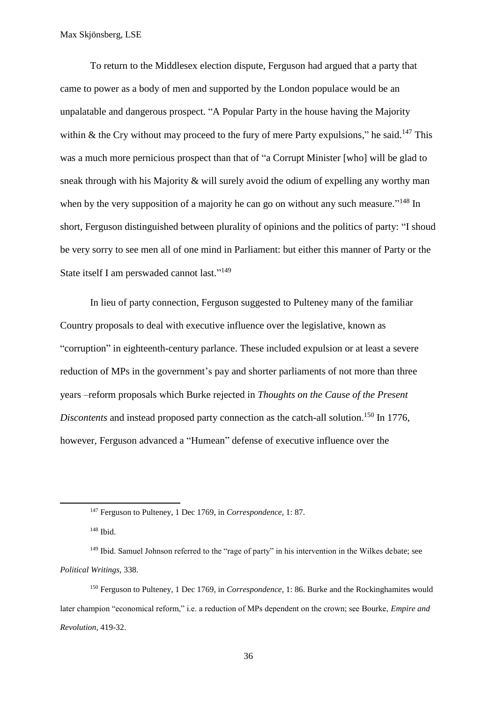To return to the Middlesex election dispute, Ferguson had argued that a party that came to power as a body of men and supported by the London populace would be an unpalatable and dangerous prospect. "A Popular Party in the house having the Majority within & the Cry without may proceed to the fury of mere Party expulsions," he said.<sup>147</sup> This was a much more pernicious prospect than that of "a Corrupt Minister [who] will be glad to sneak through with his Majority & will surely avoid the odium of expelling any worthy man when by the very supposition of a majority he can go on without any such measure."<sup>148</sup> In short, Ferguson distinguished between plurality of opinions and the politics of party: "I shoud be very sorry to see men all of one mind in Parliament: but either this manner of Party or the State itself I am perswaded cannot last."<sup>149</sup>

In lieu of party connection, Ferguson suggested to Pulteney many of the familiar Country proposals to deal with executive influence over the legislative, known as "corruption" in eighteenth-century parlance. These included expulsion or at least a severe reduction of MPs in the government's pay and shorter parliaments of not more than three years –reform proposals which Burke rejected in *Thoughts on the Cause of the Present*  Discontents and instead proposed party connection as the catch-all solution.<sup>150</sup> In 1776, however, Ferguson advanced a "Humean" defense of executive influence over the

<sup>147</sup> Ferguson to Pulteney, 1 Dec 1769, in *Correspondence,* 1: 87.

<sup>148</sup> Ibid.

<sup>&</sup>lt;sup>149</sup> Ibid. Samuel Johnson referred to the "rage of party" in his intervention in the Wilkes debate; see *Political Writings,* 338.

<sup>150</sup> Ferguson to Pulteney, 1 Dec 1769, in *Correspondence,* 1: 86. Burke and the Rockinghamites would later champion "economical reform," i.e. a reduction of MPs dependent on the crown; see Bourke, *Empire and Revolution*, 419-32.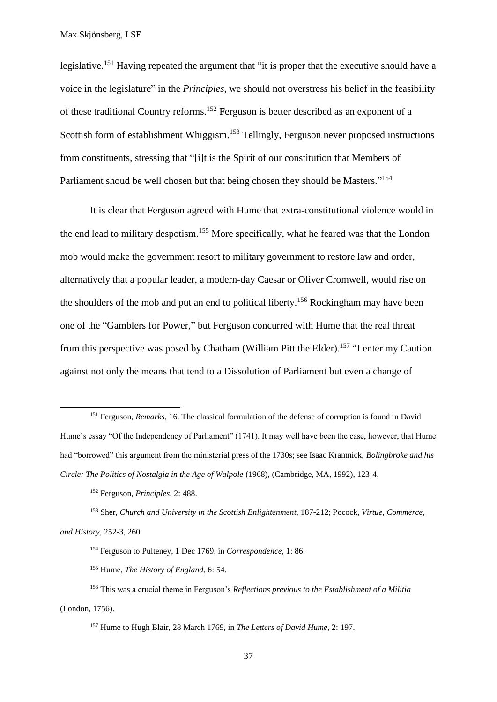legislative.<sup>151</sup> Having repeated the argument that "it is proper that the executive should have a voice in the legislature" in the *Principles*, we should not overstress his belief in the feasibility of these traditional Country reforms. <sup>152</sup> Ferguson is better described as an exponent of a Scottish form of establishment Whiggism.<sup>153</sup> Tellingly, Ferguson never proposed instructions from constituents, stressing that "[i]t is the Spirit of our constitution that Members of Parliament shoud be well chosen but that being chosen they should be Masters."<sup>154</sup>

It is clear that Ferguson agreed with Hume that extra-constitutional violence would in the end lead to military despotism.<sup>155</sup> More specifically, what he feared was that the London mob would make the government resort to military government to restore law and order, alternatively that a popular leader, a modern-day Caesar or Oliver Cromwell, would rise on the shoulders of the mob and put an end to political liberty.<sup>156</sup> Rockingham may have been one of the "Gamblers for Power," but Ferguson concurred with Hume that the real threat from this perspective was posed by Chatham (William Pitt the Elder).<sup>157</sup> "I enter my Caution against not only the means that tend to a Dissolution of Parliament but even a change of

<sup>&</sup>lt;sup>151</sup> Ferguson, *Remarks*, 16. The classical formulation of the defense of corruption is found in David Hume's essay "Of the Independency of Parliament" (1741). It may well have been the case, however, that Hume had "borrowed" this argument from the ministerial press of the 1730s; see Isaac Kramnick, *Bolingbroke and his Circle: The Politics of Nostalgia in the Age of Walpole* (1968), (Cambridge, MA, 1992), 123-4.

<sup>152</sup> Ferguson, *Principles,* 2: 488.

<sup>153</sup> Sher, *Church and University in the Scottish Enlightenment,* 187-212; Pocock, *Virtue, Commerce, and History*, 252-3, 260.

<sup>154</sup> Ferguson to Pulteney, 1 Dec 1769, in *Correspondence,* 1: 86.

<sup>155</sup> Hume, *The History of England*, 6: 54.

<sup>156</sup> This was a crucial theme in Ferguson's *Reflections previous to the Establishment of a Militia*  (London, 1756).

<sup>157</sup> Hume to Hugh Blair, 28 March 1769, in *The Letters of David Hume,* 2: 197.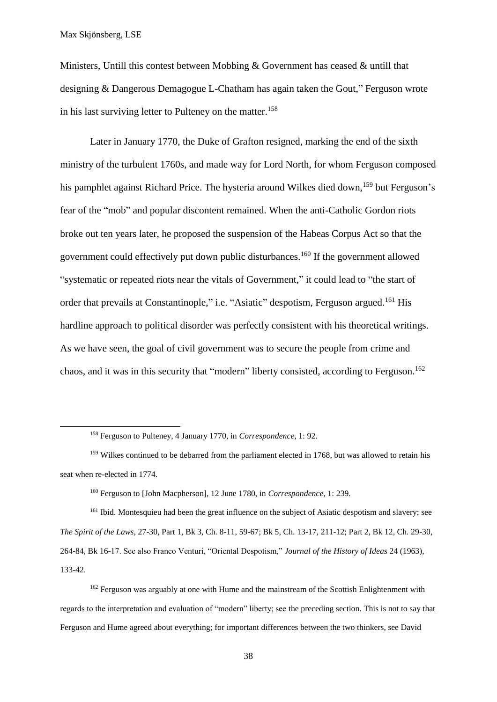$\overline{a}$ 

Ministers, Untill this contest between Mobbing & Government has ceased & untill that designing & Dangerous Demagogue L-Chatham has again taken the Gout," Ferguson wrote in his last surviving letter to Pulteney on the matter.<sup>158</sup>

Later in January 1770, the Duke of Grafton resigned, marking the end of the sixth ministry of the turbulent 1760s, and made way for Lord North, for whom Ferguson composed his pamphlet against Richard Price. The hysteria around Wilkes died down,<sup>159</sup> but Ferguson's fear of the "mob" and popular discontent remained. When the anti-Catholic Gordon riots broke out ten years later, he proposed the suspension of the Habeas Corpus Act so that the government could effectively put down public disturbances.<sup>160</sup> If the government allowed "systematic or repeated riots near the vitals of Government," it could lead to "the start of order that prevails at Constantinople," i.e. "Asiatic" despotism, Ferguson argued.<sup>161</sup> His hardline approach to political disorder was perfectly consistent with his theoretical writings. As we have seen, the goal of civil government was to secure the people from crime and chaos, and it was in this security that "modern" liberty consisted, according to Ferguson.<sup>162</sup>

<sup>160</sup> Ferguson to [John Macpherson], 12 June 1780, in *Correspondence*, 1: 239.

<sup>161</sup> Ibid. Montesquieu had been the great influence on the subject of Asiatic despotism and slavery; see *The Spirit of the Laws,* 27-30, Part 1, Bk 3, Ch. 8-11, 59-67; Bk 5, Ch. 13-17, 211-12; Part 2, Bk 12, Ch. 29-30, 264-84, Bk 16-17. See also Franco Venturi, "Oriental Despotism," *Journal of the History of Ideas* 24 (1963), 133-42.

<sup>162</sup> Ferguson was arguably at one with Hume and the mainstream of the Scottish Enlightenment with regards to the interpretation and evaluation of "modern" liberty; see the preceding section. This is not to say that Ferguson and Hume agreed about everything; for important differences between the two thinkers, see David

<sup>158</sup> Ferguson to Pulteney, 4 January 1770, in *Correspondence,* 1: 92.

<sup>&</sup>lt;sup>159</sup> Wilkes continued to be debarred from the parliament elected in 1768, but was allowed to retain his seat when re-elected in 1774.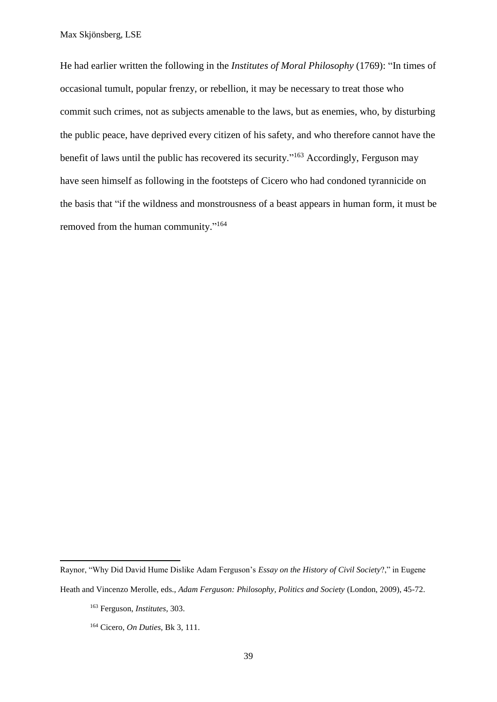He had earlier written the following in the *Institutes of Moral Philosophy* (1769): "In times of occasional tumult, popular frenzy, or rebellion, it may be necessary to treat those who commit such crimes, not as subjects amenable to the laws, but as enemies, who, by disturbing the public peace, have deprived every citizen of his safety, and who therefore cannot have the benefit of laws until the public has recovered its security."<sup>163</sup> Accordingly, Ferguson may have seen himself as following in the footsteps of Cicero who had condoned tyrannicide on the basis that "if the wildness and monstrousness of a beast appears in human form, it must be removed from the human community."<sup>164</sup>

Raynor, "Why Did David Hume Dislike Adam Ferguson's *Essay on the History of Civil Society*?," in Eugene

Heath and Vincenzo Merolle, eds., *Adam Ferguson: Philosophy, Politics and Society* (London, 2009), 45-72.

<sup>163</sup> Ferguson, *Institutes*, 303.

<sup>164</sup> Cicero, *On Duties,* Bk 3, 111.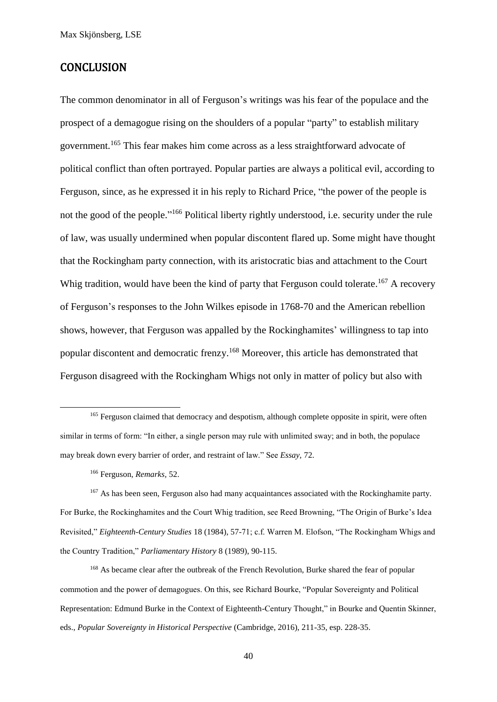#### **CONCLUSION**

The common denominator in all of Ferguson's writings was his fear of the populace and the prospect of a demagogue rising on the shoulders of a popular "party" to establish military government.<sup>165</sup> This fear makes him come across as a less straightforward advocate of political conflict than often portrayed. Popular parties are always a political evil, according to Ferguson, since, as he expressed it in his reply to Richard Price, "the power of the people is not the good of the people."<sup>166</sup> Political liberty rightly understood, i.e. security under the rule of law, was usually undermined when popular discontent flared up. Some might have thought that the Rockingham party connection, with its aristocratic bias and attachment to the Court Whig tradition, would have been the kind of party that Ferguson could tolerate.<sup>167</sup> A recovery of Ferguson's responses to the John Wilkes episode in 1768-70 and the American rebellion shows, however, that Ferguson was appalled by the Rockinghamites' willingness to tap into popular discontent and democratic frenzy. <sup>168</sup> Moreover, this article has demonstrated that Ferguson disagreed with the Rockingham Whigs not only in matter of policy but also with

**.** 

<sup>167</sup> As has been seen, Ferguson also had many acquaintances associated with the Rockinghamite party. For Burke, the Rockinghamites and the Court Whig tradition, see Reed Browning, "The Origin of Burke's Idea Revisited," *Eighteenth-Century Studies* 18 (1984), 57-71; c.f. Warren M. Elofson, "The Rockingham Whigs and the Country Tradition," *Parliamentary History* 8 (1989), 90-115.

<sup>168</sup> As became clear after the outbreak of the French Revolution, Burke shared the fear of popular commotion and the power of demagogues. On this, see Richard Bourke, "Popular Sovereignty and Political Representation: Edmund Burke in the Context of Eighteenth-Century Thought," in Bourke and Quentin Skinner, eds., *Popular Sovereignty in Historical Perspective* (Cambridge, 2016), 211-35, esp. 228-35.

<sup>&</sup>lt;sup>165</sup> Ferguson claimed that democracy and despotism, although complete opposite in spirit, were often similar in terms of form: "In either, a single person may rule with unlimited sway; and in both, the populace may break down every barrier of order, and restraint of law." See *Essay,* 72.

<sup>166</sup> Ferguson, *Remarks,* 52.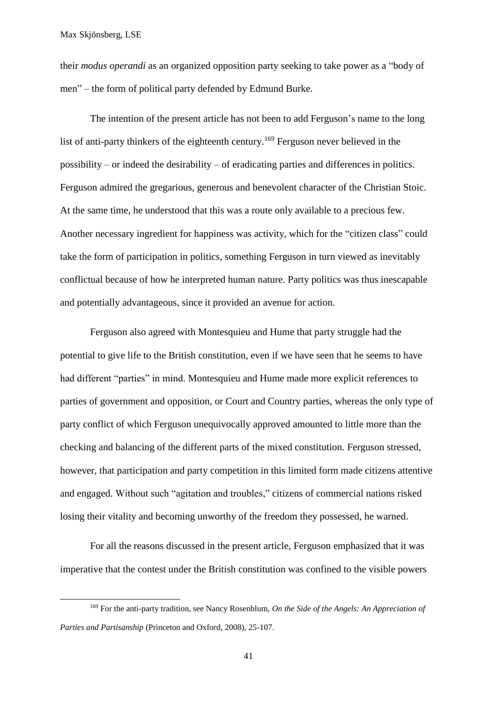**.** 

their *modus operandi* as an organized opposition party seeking to take power as a "body of men" – the form of political party defended by Edmund Burke.

The intention of the present article has not been to add Ferguson's name to the long list of anti-party thinkers of the eighteenth century.<sup>169</sup> Ferguson never believed in the possibility – or indeed the desirability – of eradicating parties and differences in politics. Ferguson admired the gregarious, generous and benevolent character of the Christian Stoic. At the same time, he understood that this was a route only available to a precious few. Another necessary ingredient for happiness was activity, which for the "citizen class" could take the form of participation in politics, something Ferguson in turn viewed as inevitably conflictual because of how he interpreted human nature. Party politics was thus inescapable and potentially advantageous, since it provided an avenue for action.

Ferguson also agreed with Montesquieu and Hume that party struggle had the potential to give life to the British constitution, even if we have seen that he seems to have had different "parties" in mind. Montesquieu and Hume made more explicit references to parties of government and opposition, or Court and Country parties, whereas the only type of party conflict of which Ferguson unequivocally approved amounted to little more than the checking and balancing of the different parts of the mixed constitution. Ferguson stressed, however, that participation and party competition in this limited form made citizens attentive and engaged. Without such "agitation and troubles," citizens of commercial nations risked losing their vitality and becoming unworthy of the freedom they possessed, he warned.

For all the reasons discussed in the present article, Ferguson emphasized that it was imperative that the contest under the British constitution was confined to the visible powers

<sup>169</sup> For the anti-party tradition, see Nancy Rosenblum, *On the Side of the Angels: An Appreciation of Parties and Partisanship* (Princeton and Oxford, 2008), 25-107.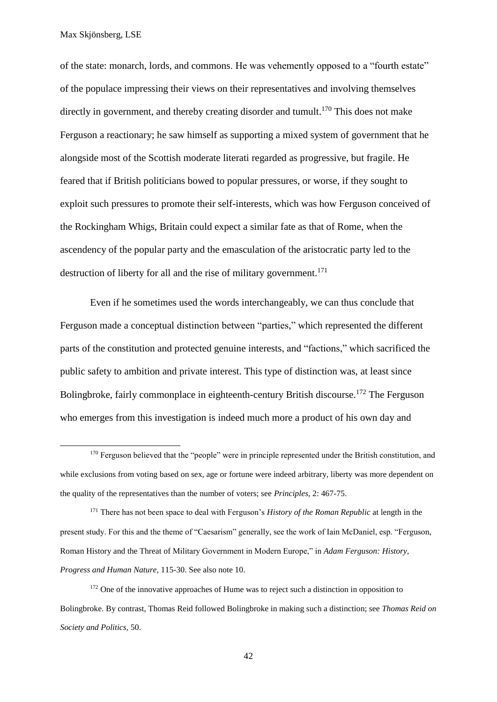**.** 

of the state: monarch, lords, and commons. He was vehemently opposed to a "fourth estate" of the populace impressing their views on their representatives and involving themselves directly in government, and thereby creating disorder and tumult.<sup>170</sup> This does not make Ferguson a reactionary; he saw himself as supporting a mixed system of government that he alongside most of the Scottish moderate literati regarded as progressive, but fragile. He feared that if British politicians bowed to popular pressures, or worse, if they sought to exploit such pressures to promote their self-interests, which was how Ferguson conceived of the Rockingham Whigs, Britain could expect a similar fate as that of Rome, when the ascendency of the popular party and the emasculation of the aristocratic party led to the destruction of liberty for all and the rise of military government. 171

Even if he sometimes used the words interchangeably, we can thus conclude that Ferguson made a conceptual distinction between "parties," which represented the different parts of the constitution and protected genuine interests, and "factions," which sacrificed the public safety to ambition and private interest. This type of distinction was, at least since Bolingbroke, fairly commonplace in eighteenth-century British discourse.<sup>172</sup> The Ferguson who emerges from this investigation is indeed much more a product of his own day and

<sup>&</sup>lt;sup>170</sup> Ferguson believed that the "people" were in principle represented under the British constitution, and while exclusions from voting based on sex, age or fortune were indeed arbitrary, liberty was more dependent on the quality of the representatives than the number of voters; see *Principles,* 2: 467-75.

<sup>171</sup> There has not been space to deal with Ferguson's *History of the Roman Republic* at length in the present study. For this and the theme of "Caesarism" generally, see the work of Iain McDaniel, esp. "Ferguson, Roman History and the Threat of Military Government in Modern Europe," in *Adam Ferguson: History, Progress and Human Nature,* 115-30. See also note 10.

<sup>&</sup>lt;sup>172</sup> One of the innovative approaches of Hume was to reject such a distinction in opposition to Bolingbroke. By contrast, Thomas Reid followed Bolingbroke in making such a distinction; see *Thomas Reid on Society and Politics,* 50.